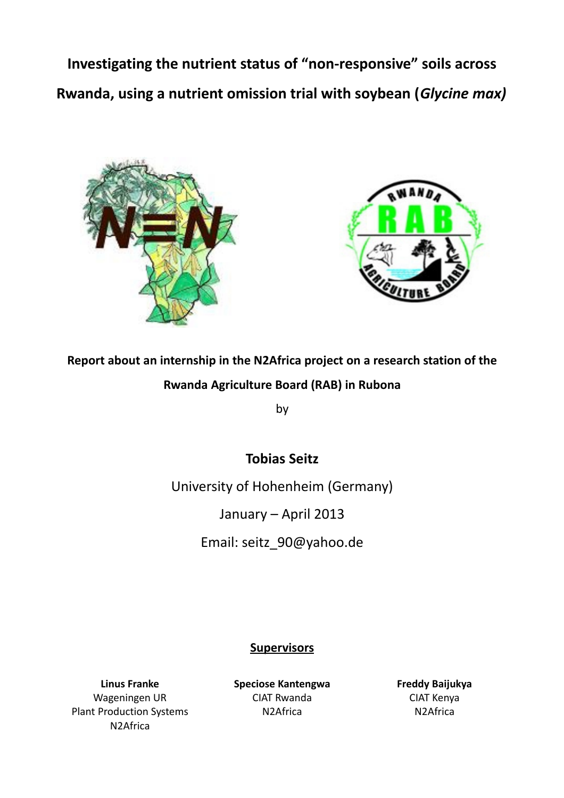**Investigating the nutrient status of "non-responsive" soils across Rwanda, using a nutrient omission trial with soybean (***Glycine max)*





# **Report about an internship in the N2Africa project on a research station of the Rwanda Agriculture Board (RAB) in Rubona**

by

## **Tobias Seitz**

University of Hohenheim (Germany)

January – April 2013

Email: seitz\_90@yahoo.de

## **Supervisors**

**Linus Franke** Wageningen UR Plant Production Systems N2Africa

**Speciose Kantengwa** CIAT Rwanda N2Africa

**Freddy Baijukya** CIAT Kenya N2Africa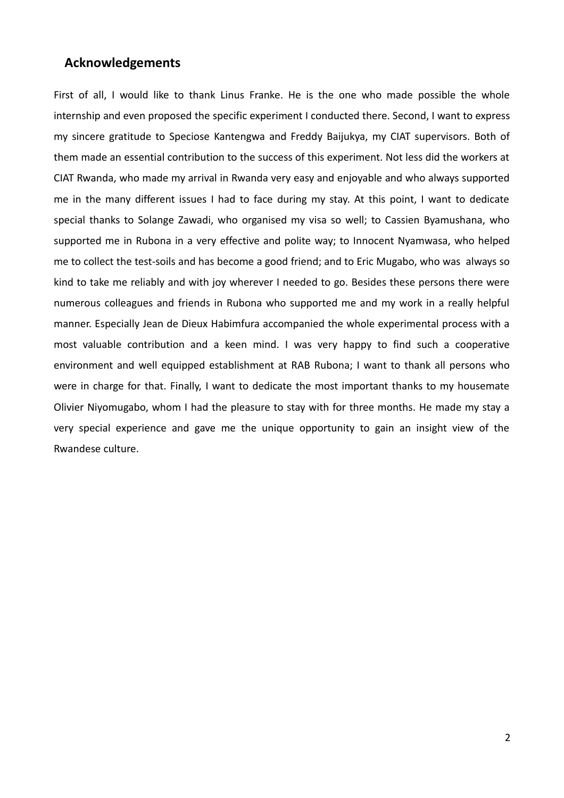## **Acknowledgements**

First of all, I would like to thank Linus Franke. He is the one who made possible the whole internship and even proposed the specific experiment I conducted there. Second, I want to express my sincere gratitude to Speciose Kantengwa and Freddy Baijukya, my CIAT supervisors. Both of them made an essential contribution to the success of this experiment. Not less did the workers at CIAT Rwanda, who made my arrival in Rwanda very easy and enjoyable and who always supported me in the many different issues I had to face during my stay. At this point, I want to dedicate special thanks to Solange Zawadi, who organised my visa so well; to Cassien Byamushana, who supported me in Rubona in a very effective and polite way; to Innocent Nyamwasa, who helped me to collect the test-soils and has become a good friend; and to Eric Mugabo, who was always so kind to take me reliably and with joy wherever I needed to go. Besides these persons there were numerous colleagues and friends in Rubona who supported me and my work in a really helpful manner. Especially Jean de Dieux Habimfura accompanied the whole experimental process with a most valuable contribution and a keen mind. I was very happy to find such a cooperative environment and well equipped establishment at RAB Rubona; I want to thank all persons who were in charge for that. Finally, I want to dedicate the most important thanks to my housemate Olivier Niyomugabo, whom I had the pleasure to stay with for three months. He made my stay a very special experience and gave me the unique opportunity to gain an insight view of the Rwandese culture.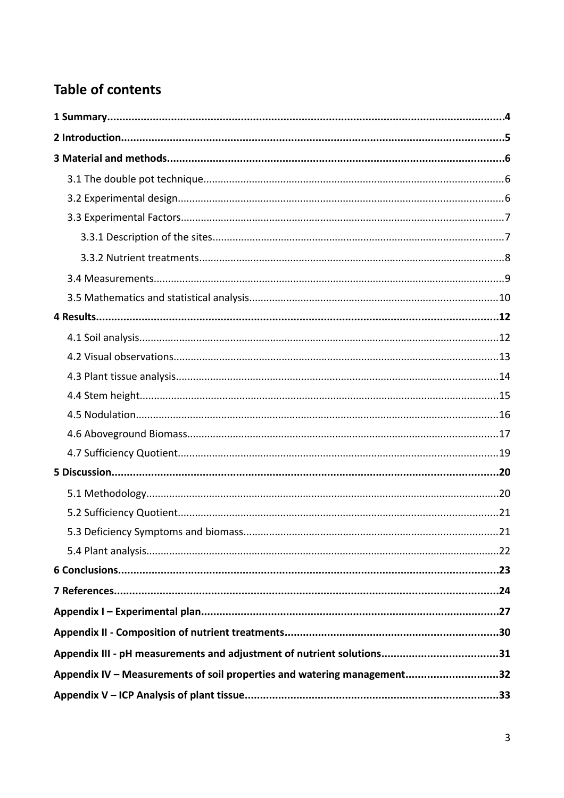# **Table of contents**

| Appendix IV – Measurements of soil properties and watering management32 |  |
|-------------------------------------------------------------------------|--|
|                                                                         |  |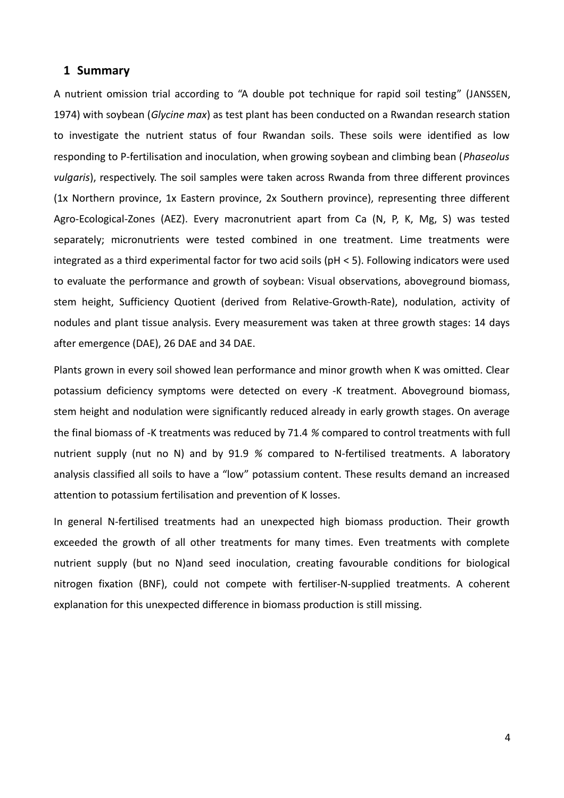#### **1 Summary**

A nutrient omission trial according to "A double pot technique for rapid soil testing" (JANSSEN, 1974) with soybean (*Glycine max*) as test plant has been conducted on a Rwandan research station to investigate the nutrient status of four Rwandan soils. These soils were identified as low responding to P-fertilisation and inoculation, when growing soybean and climbing bean (*Phaseolus vulgaris*), respectively. The soil samples were taken across Rwanda from three different provinces (1x Northern province, 1x Eastern province, 2x Southern province), representing three different Agro-Ecological-Zones (AEZ). Every macronutrient apart from Ca (N, P, K, Mg, S) was tested separately; micronutrients were tested combined in one treatment. Lime treatments were integrated as a third experimental factor for two acid soils (pH < 5). Following indicators were used to evaluate the performance and growth of soybean: Visual observations, aboveground biomass, stem height, Sufficiency Quotient (derived from Relative-Growth-Rate), nodulation, activity of nodules and plant tissue analysis. Every measurement was taken at three growth stages: 14 days after emergence (DAE), 26 DAE and 34 DAE.

Plants grown in every soil showed lean performance and minor growth when K was omitted. Clear potassium deficiency symptoms were detected on every -K treatment. Aboveground biomass, stem height and nodulation were significantly reduced already in early growth stages. On average the final biomass of -K treatments was reduced by 71.4 *%* compared to control treatments with full nutrient supply (nut no N) and by 91.9 *%* compared to N-fertilised treatments. A laboratory analysis classified all soils to have a "low" potassium content. These results demand an increased attention to potassium fertilisation and prevention of K losses.

In general N-fertilised treatments had an unexpected high biomass production. Their growth exceeded the growth of all other treatments for many times. Even treatments with complete nutrient supply (but no N)and seed inoculation, creating favourable conditions for biological nitrogen fixation (BNF), could not compete with fertiliser-N-supplied treatments. A coherent explanation for this unexpected difference in biomass production is still missing.

4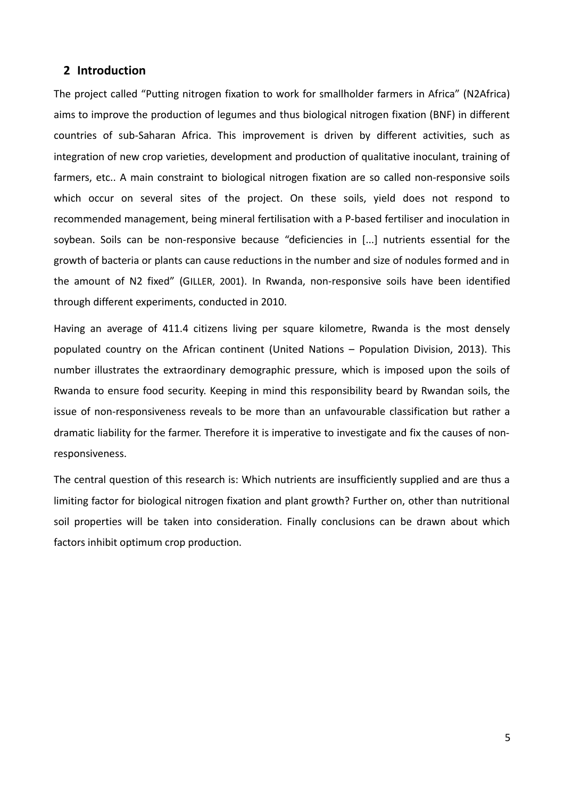### **2 Introduction**

The project called "Putting nitrogen fixation to work for smallholder farmers in Africa" (N2Africa) aims to improve the production of legumes and thus biological nitrogen fixation (BNF) in different countries of sub-Saharan Africa. This improvement is driven by different activities, such as integration of new crop varieties, development and production of qualitative inoculant, training of farmers, etc.. A main constraint to biological nitrogen fixation are so called non-responsive soils which occur on several sites of the project. On these soils, yield does not respond to recommended management, being mineral fertilisation with a P-based fertiliser and inoculation in soybean. Soils can be non-responsive because "deficiencies in [...] nutrients essential for the growth of bacteria or plants can cause reductions in the number and size of nodules formed and in the amount of N2 fixed" (GILLER, 2001). In Rwanda, non-responsive soils have been identified through different experiments, conducted in 2010.

Having an average of 411.4 citizens living per square kilometre, Rwanda is the most densely populated country on the African continent (United Nations – Population Division, 2013). This number illustrates the extraordinary demographic pressure, which is imposed upon the soils of Rwanda to ensure food security. Keeping in mind this responsibility beard by Rwandan soils, the issue of non-responsiveness reveals to be more than an unfavourable classification but rather a dramatic liability for the farmer. Therefore it is imperative to investigate and fix the causes of nonresponsiveness.

The central question of this research is: Which nutrients are insufficiently supplied and are thus a limiting factor for biological nitrogen fixation and plant growth? Further on, other than nutritional soil properties will be taken into consideration. Finally conclusions can be drawn about which factors inhibit optimum crop production.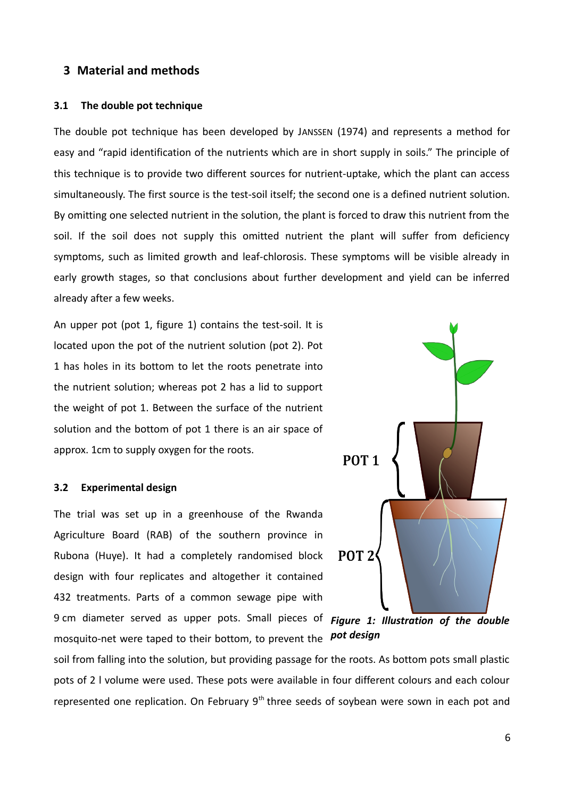## **3 Material and methods**

#### **3.1 The double pot technique**

The double pot technique has been developed by JANSSEN (1974) and represents a method for easy and "rapid identification of the nutrients which are in short supply in soils." The principle of this technique is to provide two different sources for nutrient-uptake, which the plant can access simultaneously. The first source is the test-soil itself; the second one is a defined nutrient solution. By omitting one selected nutrient in the solution, the plant is forced to draw this nutrient from the soil. If the soil does not supply this omitted nutrient the plant will suffer from deficiency symptoms, such as limited growth and leaf-chlorosis. These symptoms will be visible already in early growth stages, so that conclusions about further development and yield can be inferred already after a few weeks.

An upper pot (pot 1, figure [1\)](#page-5-0) contains the test-soil. It is located upon the pot of the nutrient solution (pot 2). Pot 1 has holes in its bottom to let the roots penetrate into the nutrient solution; whereas pot 2 has a lid to support the weight of pot 1. Between the surface of the nutrient solution and the bottom of pot 1 there is an air space of approx. 1cm to supply oxygen for the roots.

#### **3.2 Experimental design**

The trial was set up in a greenhouse of the Rwanda Agriculture Board (RAB) of the southern province in Rubona (Huye). It had a completely randomised block design with four replicates and altogether it contained 432 treatments. Parts of a common sewage pipe with 9 cm diameter served as upper pots. Small pieces of mosquito-net were taped to their bottom, to prevent the *pot design*



<span id="page-5-0"></span>*Figure 1: Illustration of the double*

soil from falling into the solution, but providing passage for the roots. As bottom pots small plastic pots of 2 l volume were used. These pots were available in four different colours and each colour represented one replication. On February 9<sup>th</sup> three seeds of soybean were sown in each pot and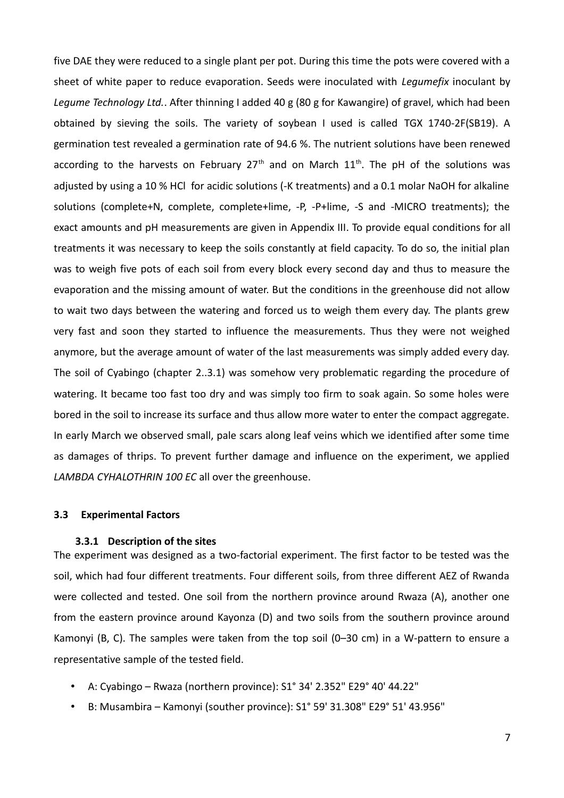five DAE they were reduced to a single plant per pot. During this time the pots were covered with a sheet of white paper to reduce evaporation. Seeds were inoculated with *Legumefix* inoculant by *Legume Technology Ltd.*. After thinning I added 40 g (80 g for Kawangire) of gravel, which had been obtained by sieving the soils. The variety of soybean I used is called TGX 1740-2F(SB19). A germination test revealed a germination rate of 94.6 %. The nutrient solutions have been renewed according to the harvests on February 27<sup>th</sup> and on March  $11<sup>th</sup>$ . The pH of the solutions was adjusted by using a 10 % HCl for acidic solutions (-K treatments) and a 0.1 molar NaOH for alkaline solutions (complete+N, complete, complete+lime, -P, -P+lime, -S and -MICRO treatments); the exact amounts and pH measurements are given in Appendix III. To provide equal conditions for all treatments it was necessary to keep the soils constantly at field capacity. To do so, the initial plan was to weigh five pots of each soil from every block every second day and thus to measure the evaporation and the missing amount of water. But the conditions in the greenhouse did not allow to wait two days between the watering and forced us to weigh them every day. The plants grew very fast and soon they started to influence the measurements. Thus they were not weighed anymore, but the average amount of water of the last measurements was simply added every day. The soil of Cyabingo (chapter 2..3.1) was somehow very problematic regarding the procedure of watering. It became too fast too dry and was simply too firm to soak again. So some holes were bored in the soil to increase its surface and thus allow more water to enter the compact aggregate. In early March we observed small, pale scars along leaf veins which we identified after some time as damages of thrips. To prevent further damage and influence on the experiment, we applied *LAMBDA CYHALOTHRIN 100 EC* all over the greenhouse.

#### **3.3 Experimental Factors**

#### **3.3.1 Description of the sites**

The experiment was designed as a two-factorial experiment. The first factor to be tested was the soil, which had four different treatments. Four different soils, from three different AEZ of Rwanda were collected and tested. One soil from the northern province around Rwaza (A), another one from the eastern province around Kayonza (D) and two soils from the southern province around Kamonyi (B, C). The samples were taken from the top soil (0–30 cm) in a W-pattern to ensure a representative sample of the tested field.

- A: Cyabingo Rwaza (northern province): S1° 34' 2.352" E29° 40' 44.22"
- B: Musambira Kamonyi (souther province): S1° 59' 31.308" E29° 51' 43.956"

7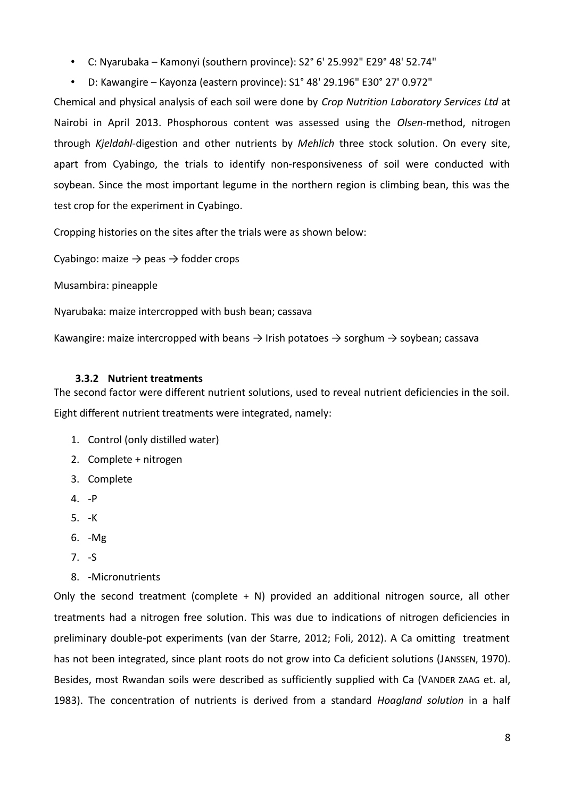- C: Nyarubaka Kamonyi (southern province): S2° 6' 25.992" E29° 48' 52.74"
- D: Kawangire Kayonza (eastern province): S1° 48' 29.196" E30° 27' 0.972"

Chemical and physical analysis of each soil were done by *Crop Nutrition Laboratory Services Ltd* at Nairobi in April 2013. Phosphorous content was assessed using the *Olsen*-method, nitrogen through *Kjeldahl*-digestion and other nutrients by *Mehlich* three stock solution. On every site, apart from Cyabingo, the trials to identify non-responsiveness of soil were conducted with soybean. Since the most important legume in the northern region is climbing bean, this was the test crop for the experiment in Cyabingo.

Cropping histories on the sites after the trials were as shown below:

Cyabingo: maize  $\rightarrow$  peas  $\rightarrow$  fodder crops

Musambira: pineapple

Nyarubaka: maize intercropped with bush bean; cassava

Kawangire: maize intercropped with beans  $\rightarrow$  Irish potatoes  $\rightarrow$  sorghum  $\rightarrow$  soybean; cassava

#### **3.3.2 Nutrient treatments**

The second factor were different nutrient solutions, used to reveal nutrient deficiencies in the soil.

Eight different nutrient treatments were integrated, namely:

- 1. Control (only distilled water)
- 2. Complete + nitrogen
- 3. Complete
- 4. -P
- 5. -K
- 6. -Mg
- 7. -S
- 8. -Micronutrients

Only the second treatment (complete  $+ N$ ) provided an additional nitrogen source, all other treatments had a nitrogen free solution. This was due to indications of nitrogen deficiencies in preliminary double-pot experiments (van der Starre, 2012; Foli, 2012). A Ca omitting treatment has not been integrated, since plant roots do not grow into Ca deficient solutions (JANSSEN, 1970). Besides, most Rwandan soils were described as sufficiently supplied with Ca (VANDER ZAAG et. al, 1983). The concentration of nutrients is derived from a standard *Hoagland solution* in a half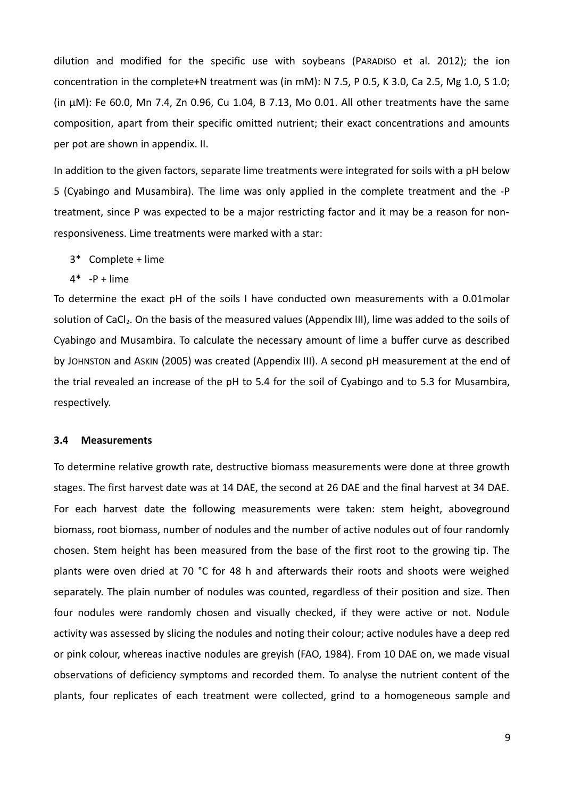dilution and modified for the specific use with soybeans (PARADISO et al. 2012); the ion concentration in the complete+N treatment was (in mM): N 7.5, P 0.5, K 3.0, Ca 2.5, Mg 1.0, S 1.0; (in μM): Fe 60.0, Mn 7.4, Zn 0.96, Cu 1.04, B 7.13, Mo 0.01. All other treatments have the same composition, apart from their specific omitted nutrient; their exact concentrations and amounts per pot are shown in appendix. II.

In addition to the given factors, separate lime treatments were integrated for soils with a pH below 5 (Cyabingo and Musambira). The lime was only applied in the complete treatment and the -P treatment, since P was expected to be a major restricting factor and it may be a reason for nonresponsiveness. Lime treatments were marked with a star:

- 3\* Complete + lime
- $4^*$  -P + lime

To determine the exact pH of the soils I have conducted own measurements with a 0.01molar solution of CaCl<sub>2</sub>. On the basis of the measured values (Appendix III), lime was added to the soils of Cyabingo and Musambira. To calculate the necessary amount of lime a buffer curve as described by JOHNSTON and ASKIN (2005) was created (Appendix III). A second pH measurement at the end of the trial revealed an increase of the pH to 5.4 for the soil of Cyabingo and to 5.3 for Musambira, respectively.

#### **3.4 Measurements**

To determine relative growth rate, destructive biomass measurements were done at three growth stages. The first harvest date was at 14 DAE, the second at 26 DAE and the final harvest at 34 DAE. For each harvest date the following measurements were taken: stem height, aboveground biomass, root biomass, number of nodules and the number of active nodules out of four randomly chosen. Stem height has been measured from the base of the first root to the growing tip. The plants were oven dried at 70 °C for 48 h and afterwards their roots and shoots were weighed separately. The plain number of nodules was counted, regardless of their position and size. Then four nodules were randomly chosen and visually checked, if they were active or not. Nodule activity was assessed by slicing the nodules and noting their colour; active nodules have a deep red or pink colour, whereas inactive nodules are greyish (FAO, 1984). From 10 DAE on, we made visual observations of deficiency symptoms and recorded them. To analyse the nutrient content of the plants, four replicates of each treatment were collected, grind to a homogeneous sample and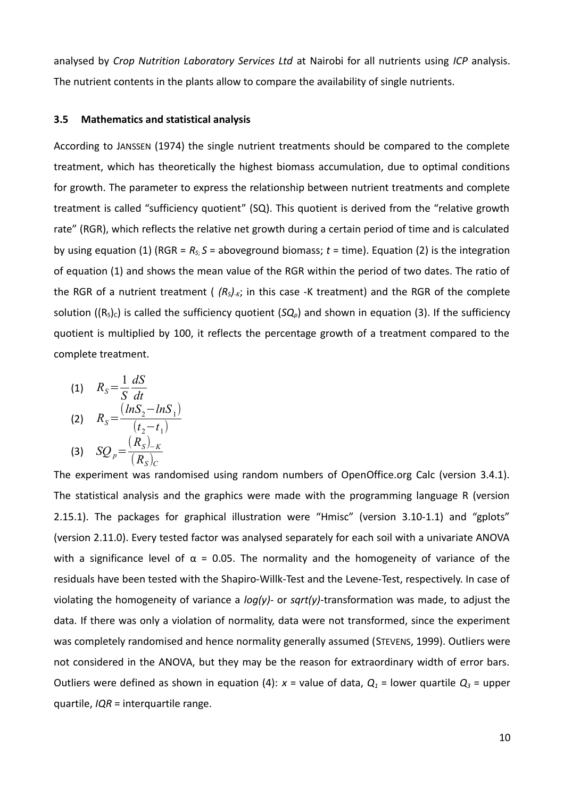analysed by *Crop Nutrition Laboratory Services Ltd* at Nairobi for all nutrients using *ICP* analysis. The nutrient contents in the plants allow to compare the availability of single nutrients.

#### **3.5 Mathematics and statistical analysis**

According to JANSSEN (1974) the single nutrient treatments should be compared to the complete treatment, which has theoretically the highest biomass accumulation, due to optimal conditions for growth. The parameter to express the relationship between nutrient treatments and complete treatment is called "sufficiency quotient" (SQ). This quotient is derived from the "relative growth rate" (RGR), which reflects the relative net growth during a certain period of time and is calculated by using equation (1) (RGR =  $R_s$ ;  $S$  = aboveground biomass;  $t$  = time). Equation (2) is the integration of equation (1) and shows the mean value of the RGR within the period of two dates. The ratio of the RGR of a nutrient treatment ( $(R_s)_{\kappa}$ ; in this case -K treatment) and the RGR of the complete solution ( $(R<sub>s</sub>)<sub>c</sub>$ ) is called the sufficiency quotient ( $SQ<sub>p</sub>$ ) and shown in equation (3). If the sufficiency quotient is multiplied by 100, it reflects the percentage growth of a treatment compared to the complete treatment.

(1) 
$$
R_S = \frac{1}{S} \frac{dS}{dt}
$$
  
\n(2)  $R_S = \frac{(lnS_2 - lnS_1)}{(t_2 - t_1)}$   
\n(3)  $SQ_p = \frac{(R_S)_{-K}}{(R_S)_{C}}$ 

The experiment was randomised using random numbers of OpenOffice.org Calc (version 3.4.1). The statistical analysis and the graphics were made with the programming language R (version 2.15.1). The packages for graphical illustration were "Hmisc" (version 3.10-1.1) and "gplots" (version 2.11.0). Every tested factor was analysed separately for each soil with a univariate ANOVA with a significance level of  $\alpha$  = 0.05. The normality and the homogeneity of variance of the residuals have been tested with the Shapiro-Willk-Test and the Levene-Test, respectively. In case of violating the homogeneity of variance a *log(y)*- or *sqrt(y)*-transformation was made, to adjust the data. If there was only a violation of normality, data were not transformed, since the experiment was completely randomised and hence normality generally assumed (STEVENS, 1999). Outliers were not considered in the ANOVA, but they may be the reason for extraordinary width of error bars. Outliers were defined as shown in equation (4):  $x =$  value of data,  $Q_1 =$  lower quartile  $Q_3 =$  upper quartile, *IQR* = interquartile range.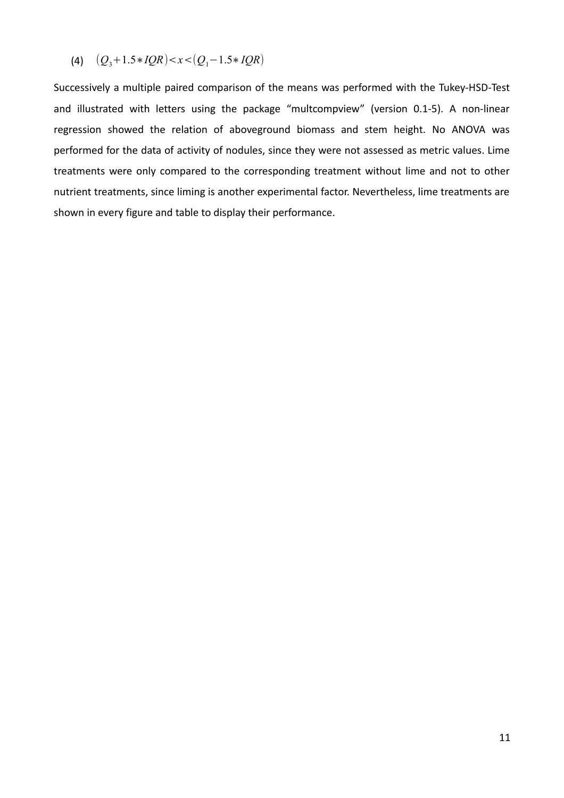$$
(4) \quad (Q_3+1.5*IQR)
$$

Successively a multiple paired comparison of the means was performed with the Tukey-HSD-Test and illustrated with letters using the package "multcompview" (version 0.1-5). A non-linear regression showed the relation of aboveground biomass and stem height. No ANOVA was performed for the data of activity of nodules, since they were not assessed as metric values. Lime treatments were only compared to the corresponding treatment without lime and not to other nutrient treatments, since liming is another experimental factor. Nevertheless, lime treatments are shown in every figure and table to display their performance.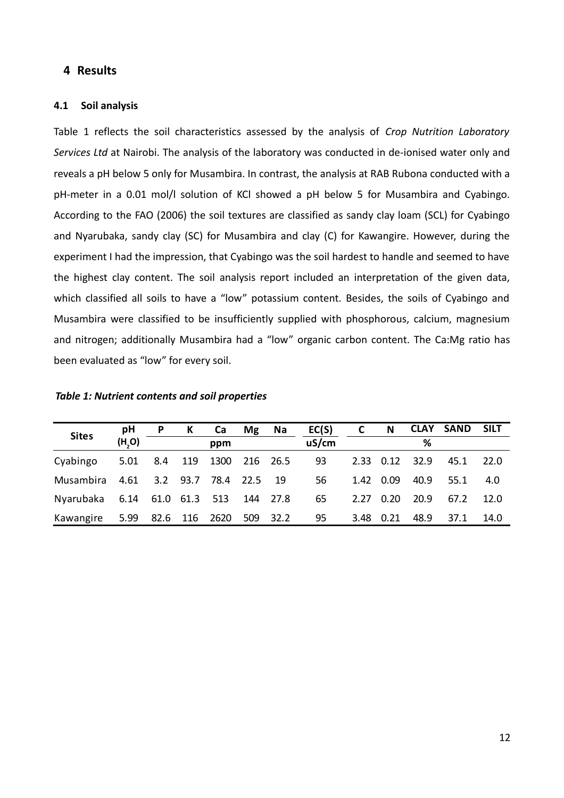## **4 Results**

#### **4.1 Soil analysis**

Table [1](#page-11-0) reflects the soil characteristics assessed by the analysis of *Crop Nutrition Laboratory Services Ltd* at Nairobi. The analysis of the laboratory was conducted in de-ionised water only and reveals a pH below 5 only for Musambira. In contrast, the analysis at RAB Rubona conducted with a pH-meter in a 0.01 mol/l solution of KCl showed a pH below 5 for Musambira and Cyabingo. According to the FAO (2006) the soil textures are classified as sandy clay loam (SCL) for Cyabingo and Nyarubaka, sandy clay (SC) for Musambira and clay (C) for Kawangire. However, during the experiment I had the impression, that Cyabingo was the soil hardest to handle and seemed to have the highest clay content. The soil analysis report included an interpretation of the given data, which classified all soils to have a "low" potassium content. Besides, the soils of Cyabingo and Musambira were classified to be insufficiently supplied with phosphorous, calcium, magnesium and nitrogen; additionally Musambira had a "low" organic carbon content. The Ca:Mg ratio has been evaluated as "low" for every soil.

|              | рH     | P.   | К   | Ca                      | <b>Mg</b> | Na   | EC(S) | C    | N           |      | <b>CLAY SAND</b> | <b>SILT</b> |
|--------------|--------|------|-----|-------------------------|-----------|------|-------|------|-------------|------|------------------|-------------|
| <b>Sites</b> | (H, O) |      |     | ppm                     |           |      | uS/cm |      |             | ℅    |                  |             |
| Cyabingo     | 5.01   | 8.4  | 119 | 1300 216 26.5           |           |      | 93    |      | $2.33$ 0.12 | 32.9 | 45.1             | <b>22.0</b> |
| Musambira    |        |      |     | 4.61 3.2 93.7 78.4 22.5 |           | - 19 | 56    |      | 1.42 0.09   | 40.9 | 55.1             | 4.0         |
| Nyarubaka    |        |      |     | 6.14 61.0 61.3 513      | 144 27.8  |      | 65    |      | $2.27$ 0.20 | 20.9 | 67.2             | 12.0        |
| Kawangire    | 5.99   | 82.6 | 116 | 2620                    | 509       | 32.2 | 95    | 3.48 | 0.21        | 48.9 | 37.1             | 14.0        |

<span id="page-11-0"></span>*Table 1: Nutrient contents and soil properties*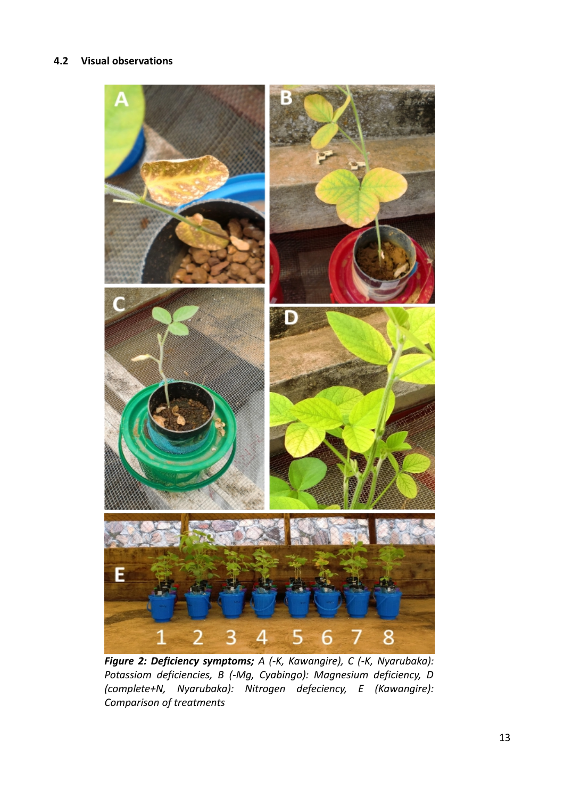### **4.2 Visual observations**

<span id="page-12-0"></span>

*Figure 2: Deficiency symptoms; A (-K, Kawangire), C (-K, Nyarubaka): Potassiom deficiencies, B (-Mg, Cyabingo): Magnesium deficiency, D (complete+N, Nyarubaka): Nitrogen defeciency, E (Kawangire): Comparison of treatments*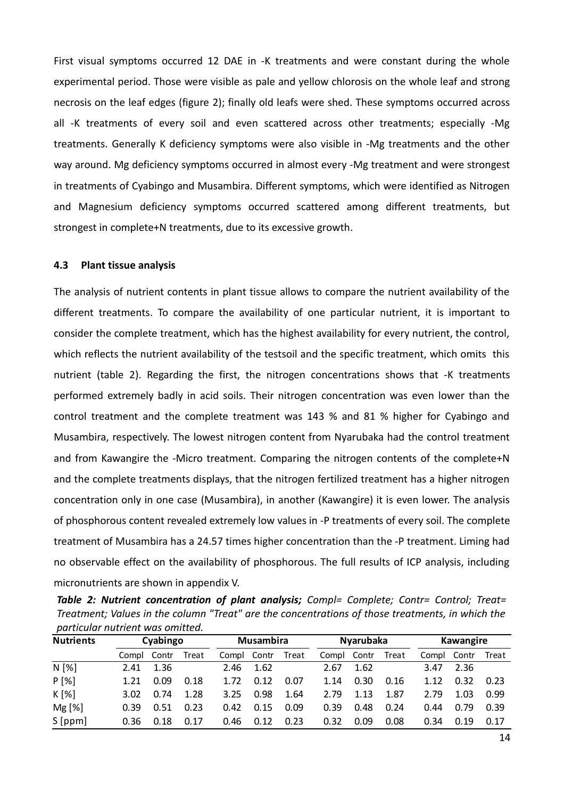First visual symptoms occurred 12 DAE in -K treatments and were constant during the whole experimental period. Those were visible as pale and yellow chlorosis on the whole leaf and strong necrosis on the leaf edges (figure [2\)](#page-12-0); finally old leafs were shed. These symptoms occurred across all -K treatments of every soil and even scattered across other treatments; especially -Mg treatments. Generally K deficiency symptoms were also visible in -Mg treatments and the other way around. Mg deficiency symptoms occurred in almost every -Mg treatment and were strongest in treatments of Cyabingo and Musambira. Different symptoms, which were identified as Nitrogen and Magnesium deficiency symptoms occurred scattered among different treatments, but strongest in complete+N treatments, due to its excessive growth.

#### **4.3 Plant tissue analysis**

The analysis of nutrient contents in plant tissue allows to compare the nutrient availability of the different treatments. To compare the availability of one particular nutrient, it is important to consider the complete treatment, which has the highest availability for every nutrient, the control, which reflects the nutrient availability of the testsoil and the specific treatment, which omits this nutrient (table [2\)](#page-13-0). Regarding the first, the nitrogen concentrations shows that -K treatments performed extremely badly in acid soils. Their nitrogen concentration was even lower than the control treatment and the complete treatment was 143 % and 81 % higher for Cyabingo and Musambira, respectively. The lowest nitrogen content from Nyarubaka had the control treatment and from Kawangire the -Micro treatment. Comparing the nitrogen contents of the complete+N and the complete treatments displays, that the nitrogen fertilized treatment has a higher nitrogen concentration only in one case (Musambira), in another (Kawangire) it is even lower. The analysis of phosphorous content revealed extremely low values in -P treatments of every soil. The complete treatment of Musambira has a 24.57 times higher concentration than the -P treatment. Liming had no observable effect on the availability of phosphorous. The full results of ICP analysis, including micronutrients are shown in appendix V.

<span id="page-13-0"></span>*Table 2: Nutrient concentration of plant analysis; Compl= Complete; Contr= Control; Treat= Treatment; Values in the column "Treat" are the concentrations of those treatments, in which the particular nutrient was omitted.*

| <b>Nutrients</b> | Cyabingo |       |       | <b>Musambira</b> |       |       | <b>Nyarubaka</b> |       |       | Kawangire |       |       |
|------------------|----------|-------|-------|------------------|-------|-------|------------------|-------|-------|-----------|-------|-------|
|                  | Compl    | Contr | Treat | Compl            | Contr | Treat | Compl            | Contr | Treat | Compl     | Contr | Treat |
| $N$ [%]          | 2.41     | 1.36  |       | 2.46             | 1.62  |       | 2.67             | 1.62  |       | 3.47      | 2.36  |       |
| P[%]             | 1.21     | 0.09  | 0.18  | 1.72             | 0.12  | 0.07  | 1.14             | 0.30  | 0.16  | 1.12      | 0.32  | 0.23  |
| $K[\%]$          | 3.02     | 0.74  | 1.28  | 3.25             | 0.98  | 1.64  | 2.79             | 1.13  | 1.87  | 2.79      | 1.03  | 0.99  |
| Mg [%]           | 0.39     | 0.51  | 0.23  | 0.42             | 0.15  | 0.09  | 0.39             | 0.48  | 0.24  | 0.44      | 0.79  | 0.39  |
| S[ppm]           | 0.36     | 0.18  | 0.17  | 0.46             | 0.12  | 0.23  | 0.32             | 0.09  | 0.08  | 0.34      | 0.19  | 0.17  |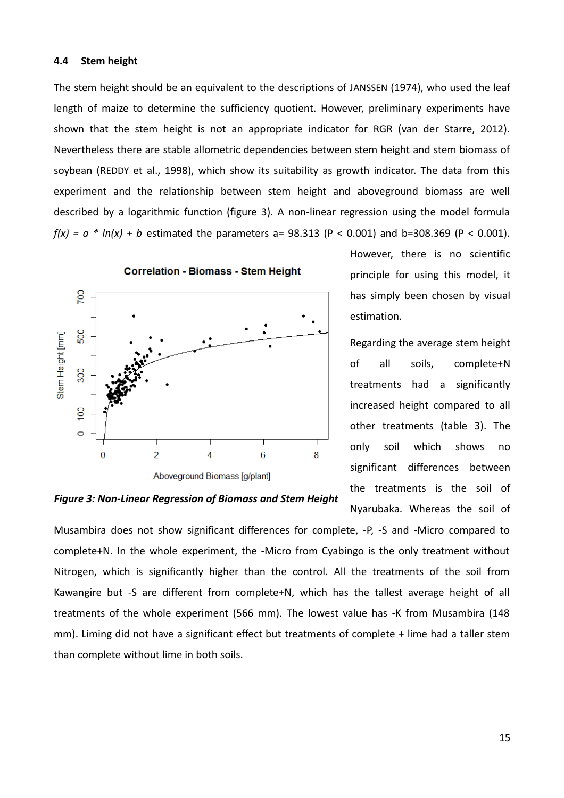#### **4.4 Stem height**

The stem height should be an equivalent to the descriptions of JANSSEN (1974), who used the leaf length of maize to determine the sufficiency quotient. However, preliminary experiments have shown that the stem height is not an appropriate indicator for RGR (van der Starre, 2012). Nevertheless there are stable allometric dependencies between stem height and stem biomass of soybean (REDDY et al., 1998), which show its suitability as growth indicator. The data from this experiment and the relationship between stem height and aboveground biomass are well described by a logarithmic function (figure 3). A non-linear regression using the model formula  $f(x) = a * ln(x) + b$  estimated the parameters a= 98.313 (P < 0.001) and b=308.369 (P < 0.001).



However, there is no scientific principle for using this model, it has simply been chosen by visual estimation.

Regarding the average stem height of all soils, complete+N treatments had a significantly increased height compared to all other treatments (table [3\)](#page-15-0). The only soil which shows no significant differences between the treatments is the soil of Nyarubaka. Whereas the soil of

*Figure 3: Non-Linear Regression of Biomass and Stem Height*

Musambira does not show significant differences for complete, -P, -S and -Micro compared to complete+N. In the whole experiment, the -Micro from Cyabingo is the only treatment without Nitrogen, which is significantly higher than the control. All the treatments of the soil from Kawangire but -S are different from complete+N, which has the tallest average height of all treatments of the whole experiment (566 mm). The lowest value has -K from Musambira (148 mm). Liming did not have a significant effect but treatments of complete + lime had a taller stem than complete without lime in both soils.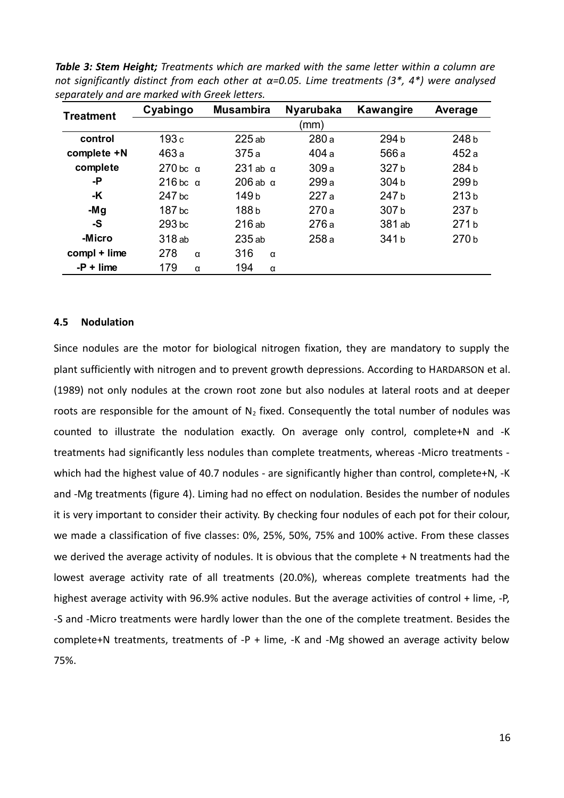| . .<br><b>Treatment</b> | Cyabingo          | <b>Musambira</b>  | <b>Nyarubaka</b> | <b>Kawangire</b> | Average          |
|-------------------------|-------------------|-------------------|------------------|------------------|------------------|
|                         |                   |                   | (mm)             |                  |                  |
| control                 | 193c              | 225ab             | 280a             | 294 b            | 248b             |
| complete +N             | 463a              | 375a              | 404 a            | 566 a            | 452a             |
| complete                | $270$ bc $\alpha$ | $231$ ab $\alpha$ | 309a             | 327b             | 284b             |
| -Р                      | $216$ bc $\alpha$ | $206$ ab $\alpha$ | 299 a            | 304b             | 299b             |
| -K                      | 247 bc            | 149 <sub>b</sub>  | 227 a            | 247b             | 213 <sub>b</sub> |
| -Mg                     | 187 <sub>bc</sub> | 188b              | 270a             | 307b             | 237b             |
| -S                      | 293 bc            | 216ab             | 276a             | 381 ab           | 271b             |
| -Micro                  | 318 ab            | 235 ab            | 258a             | 341b             | 270b             |
| compl + lime            | 278<br>$\alpha$   | 316<br>$\alpha$   |                  |                  |                  |
| $-P +$ lime             | 179<br>α          | 194<br>α          |                  |                  |                  |

<span id="page-15-0"></span>*Table 3: Stem Height; Treatments which are marked with the same letter within a column are not significantly distinct from each other at α=0.05. Lime treatments (3\*, 4\*) were analysed separately and are marked with Greek letters.*

#### **4.5 Nodulation**

Since nodules are the motor for biological nitrogen fixation, they are mandatory to supply the plant sufficiently with nitrogen and to prevent growth depressions. According to HARDARSON et al. (1989) not only nodules at the crown root zone but also nodules at lateral roots and at deeper roots are responsible for the amount of  $N_2$  fixed. Consequently the total number of nodules was counted to illustrate the nodulation exactly. On average only control, complete+N and -K treatments had significantly less nodules than complete treatments, whereas -Micro treatments which had the highest value of 40.7 nodules - are significantly higher than control, complete+N, -K and -Mg treatments (figure [4\)](#page-16-0). Liming had no effect on nodulation. Besides the number of nodules it is very important to consider their activity. By checking four nodules of each pot for their colour, we made a classification of five classes: 0%, 25%, 50%, 75% and 100% active. From these classes we derived the average activity of nodules. It is obvious that the complete + N treatments had the lowest average activity rate of all treatments (20.0%), whereas complete treatments had the highest average activity with 96.9% active nodules. But the average activities of control + lime, -P, -S and -Micro treatments were hardly lower than the one of the complete treatment. Besides the complete+N treatments, treatments of -P + lime, -K and -Mg showed an average activity below 75%.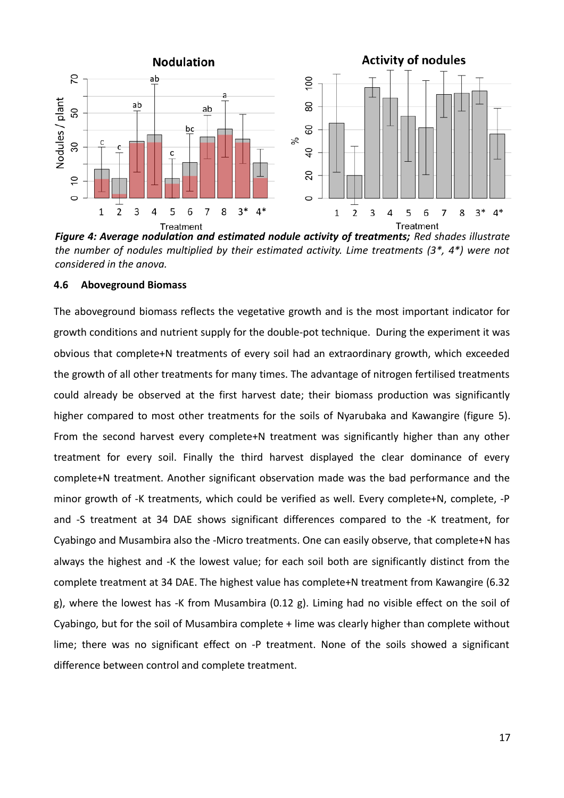

<span id="page-16-0"></span>*Figure 4: Average nodulation and estimated nodule activity of treatments; Red shades illustrate the number of nodules multiplied by their estimated activity. Lime treatments (3\*, 4\*) were not considered in the anova.*

#### **4.6 Aboveground Biomass**

The aboveground biomass reflects the vegetative growth and is the most important indicator for growth conditions and nutrient supply for the double-pot technique. During the experiment it was obvious that complete+N treatments of every soil had an extraordinary growth, which exceeded the growth of all other treatments for many times. The advantage of nitrogen fertilised treatments could already be observed at the first harvest date; their biomass production was significantly higher compared to most other treatments for the soils of Nyarubaka and Kawangire (figure [5\)](#page-17-0). From the second harvest every complete+N treatment was significantly higher than any other treatment for every soil. Finally the third harvest displayed the clear dominance of every complete+N treatment. Another significant observation made was the bad performance and the minor growth of -K treatments, which could be verified as well. Every complete+N, complete, -P and -S treatment at 34 DAE shows significant differences compared to the -K treatment, for Cyabingo and Musambira also the -Micro treatments. One can easily observe, that complete+N has always the highest and -K the lowest value; for each soil both are significantly distinct from the complete treatment at 34 DAE. The highest value has complete+N treatment from Kawangire (6.32 g), where the lowest has -K from Musambira (0.12 g). Liming had no visible effect on the soil of Cyabingo, but for the soil of Musambira complete + lime was clearly higher than complete without lime; there was no significant effect on -P treatment. None of the soils showed a significant difference between control and complete treatment.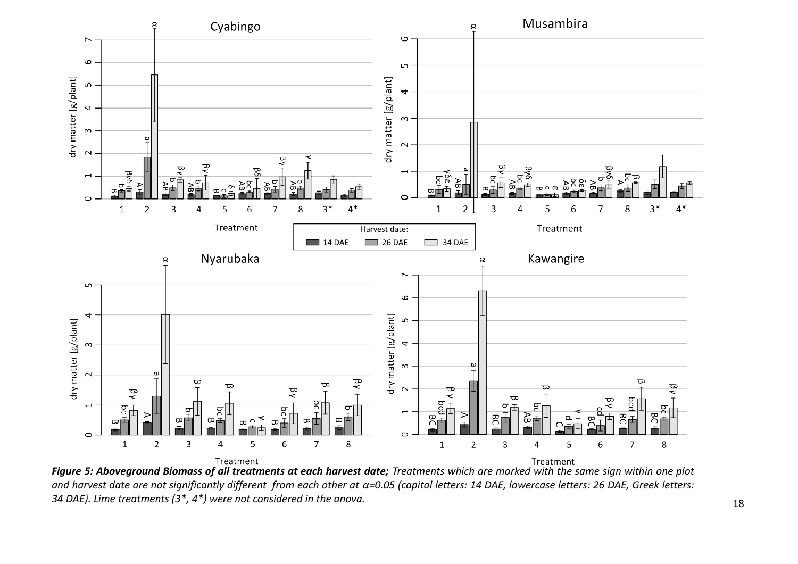

<span id="page-17-0"></span>*and harvest date are not significantly different from each other at α=0.05 (capital letters: 14 DAE, lowercase letters: 26 DAE, Greek letters: 34 DAE). Lime treatments (3\*, 4\*) were not considered in the anova.*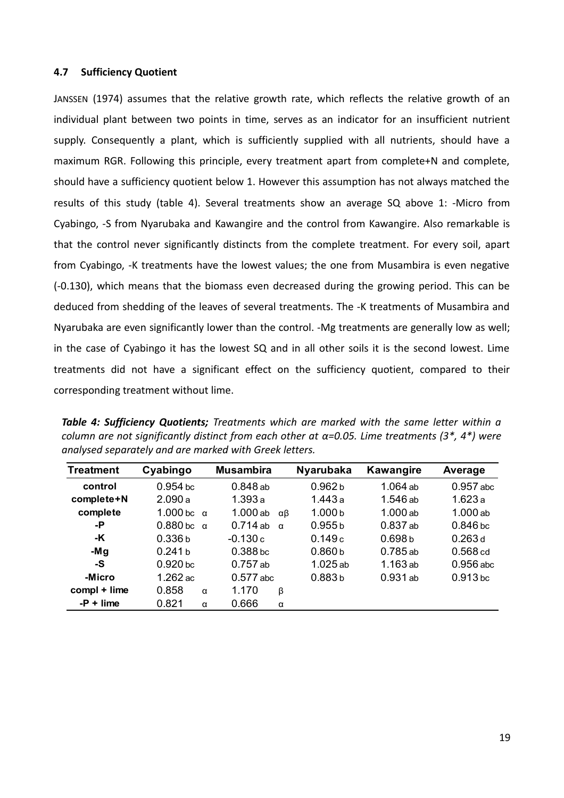#### **4.7 Sufficiency Quotient**

JANSSEN (1974) assumes that the relative growth rate, which reflects the relative growth of an individual plant between two points in time, serves as an indicator for an insufficient nutrient supply. Consequently a plant, which is sufficiently supplied with all nutrients, should have a maximum RGR. Following this principle, every treatment apart from complete+N and complete, should have a sufficiency quotient below 1. However this assumption has not always matched the results of this study (table [4\)](#page-18-0). Several treatments show an average SQ above 1: -Micro from Cyabingo, -S from Nyarubaka and Kawangire and the control from Kawangire. Also remarkable is that the control never significantly distincts from the complete treatment. For every soil, apart from Cyabingo, -K treatments have the lowest values; the one from Musambira is even negative (-0.130), which means that the biomass even decreased during the growing period. This can be deduced from shedding of the leaves of several treatments. The -K treatments of Musambira and Nyarubaka are even significantly lower than the control. -Mg treatments are generally low as well; in the case of Cyabingo it has the lowest SQ and in all other soils it is the second lowest. Lime treatments did not have a significant effect on the sufficiency quotient, compared to their corresponding treatment without lime.

| <b>Treatment</b> | Cyabingo            | <b>Musambira</b>       | <b>Nyarubaka</b>   | <b>Kawangire</b>   | Average             |
|------------------|---------------------|------------------------|--------------------|--------------------|---------------------|
| control          | $0.954$ bc          | $0.848$ ab             | 0.962 <sub>b</sub> | 1.064 ab           | $0.957$ abc         |
| complete+N       | 2.090a              | 1.393a                 | 1.443 a            | 1.546 ab           | 1.623 a             |
| complete         | 1.000 bc $\alpha$   | 1.000ab<br>αβ          | 1.000 <sub>b</sub> | $1.000$ ab         | 1.000ab             |
| -P               | $0.880$ bc $\alpha$ | $0.714$ ab<br>$\alpha$ | 0.955 b            | $0.837$ ab         | $0.846$ bc          |
| -K               | 0.336 <sub>b</sub>  | $-0.130c$              | 0.149c             | 0.698 <sub>b</sub> | 0.263d              |
| -Mg              | 0.241 b             | 0.388 <sub>bc</sub>    | 0.860 <sub>b</sub> | $0.785$ ab         | 0.568 <sub>cd</sub> |
| -S               | 0.920 <sub>bc</sub> | $0.757$ ab             | $1.025$ ab         | $1.163$ ab         | $0.956$ abc         |
| -Micro           | 1.262 ac            | $0.577$ abc            | 0.883b             | $0.931$ ab         | 0.913 <sub>bc</sub> |

 $0.858$  a 1.170  $0.821 \alpha$  0.666

**compl + lime** 0.858 α 1.170 β **-P + lime** 0.821 α 0.666 α

<span id="page-18-0"></span>*Table 4: Sufficiency Quotients; Treatments which are marked with the same letter within a column are not significantly distinct from each other at α=0.05. Lime treatments (3\*, 4\*) were analysed separately and are marked with Greek letters.*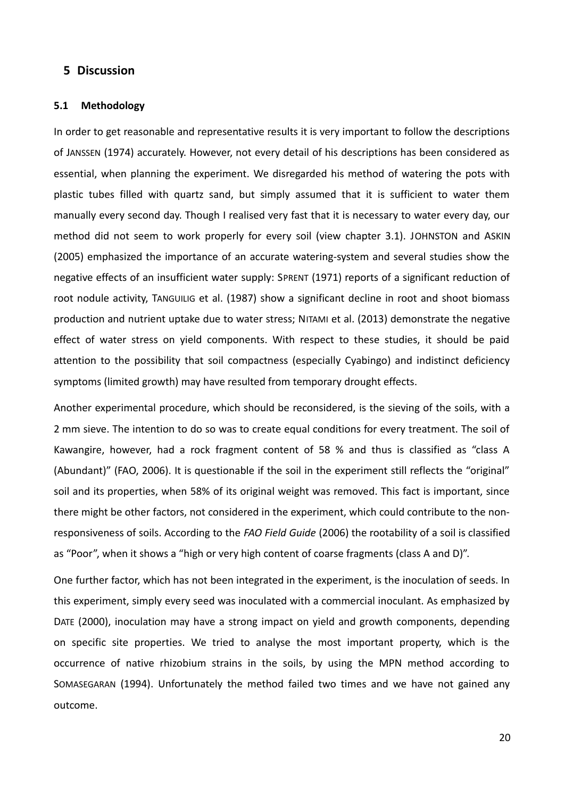### **5 Discussion**

#### **5.1 Methodology**

In order to get reasonable and representative results it is very important to follow the descriptions of JANSSEN (1974) accurately. However, not every detail of his descriptions has been considered as essential, when planning the experiment. We disregarded his method of watering the pots with plastic tubes filled with quartz sand, but simply assumed that it is sufficient to water them manually every second day. Though I realised very fast that it is necessary to water every day, our method did not seem to work properly for every soil (view chapter 3.1). JOHNSTON and ASKIN (2005) emphasized the importance of an accurate watering-system and several studies show the negative effects of an insufficient water supply: SPRENT (1971) reports of a significant reduction of root nodule activity, TANGUILIG et al. (1987) show a significant decline in root and shoot biomass production and nutrient uptake due to water stress; NITAMI et al. (2013) demonstrate the negative effect of water stress on yield components. With respect to these studies, it should be paid attention to the possibility that soil compactness (especially Cyabingo) and indistinct deficiency symptoms (limited growth) may have resulted from temporary drought effects.

Another experimental procedure, which should be reconsidered, is the sieving of the soils, with a 2 mm sieve. The intention to do so was to create equal conditions for every treatment. The soil of Kawangire, however, had a rock fragment content of 58 % and thus is classified as "class A (Abundant)" (FAO, 2006). It is questionable if the soil in the experiment still reflects the "original" soil and its properties, when 58% of its original weight was removed. This fact is important, since there might be other factors, not considered in the experiment, which could contribute to the nonresponsiveness of soils. According to the *FAO Field Guide* (2006) the rootability of a soil is classified as "Poor", when it shows a "high or very high content of coarse fragments (class A and D)".

One further factor, which has not been integrated in the experiment, is the inoculation of seeds. In this experiment, simply every seed was inoculated with a commercial inoculant. As emphasized by DATE (2000), inoculation may have a strong impact on yield and growth components, depending on specific site properties. We tried to analyse the most important property, which is the occurrence of native rhizobium strains in the soils, by using the MPN method according to SOMASEGARAN (1994). Unfortunately the method failed two times and we have not gained any outcome.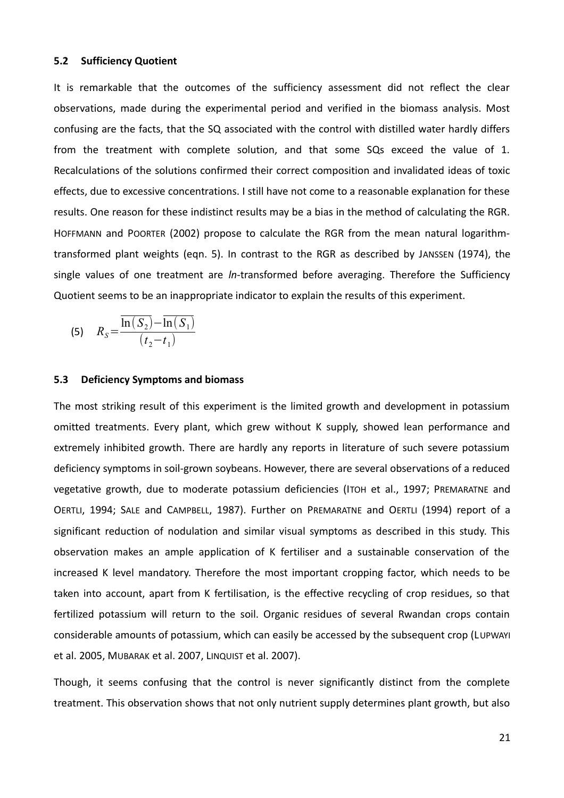#### **5.2 Sufficiency Quotient**

It is remarkable that the outcomes of the sufficiency assessment did not reflect the clear observations, made during the experimental period and verified in the biomass analysis. Most confusing are the facts, that the SQ associated with the control with distilled water hardly differs from the treatment with complete solution, and that some SQs exceed the value of 1. Recalculations of the solutions confirmed their correct composition and invalidated ideas of toxic effects, due to excessive concentrations. I still have not come to a reasonable explanation for these results. One reason for these indistinct results may be a bias in the method of calculating the RGR. HOFFMANN and POORTER (2002) propose to calculate the RGR from the mean natural logarithmtransformed plant weights (eqn. 5). In contrast to the RGR as described by JANSSEN (1974), the single values of one treatment are *ln*-transformed before averaging. Therefore the Sufficiency Quotient seems to be an inappropriate indicator to explain the results of this experiment.

(5) 
$$
R_{S} = \frac{\overline{\ln(S_{2})} - \overline{\ln(S_{1})}}{(t_{2} - t_{1})}
$$

#### **5.3 Deficiency Symptoms and biomass**

The most striking result of this experiment is the limited growth and development in potassium omitted treatments. Every plant, which grew without K supply, showed lean performance and extremely inhibited growth. There are hardly any reports in literature of such severe potassium deficiency symptoms in soil-grown soybeans. However, there are several observations of a reduced vegetative growth, due to moderate potassium deficiencies (ITOH et al., 1997; PREMARATNE and OERTLI, 1994; SALE and CAMPBELL, 1987). Further on PREMARATNE and OERTLI (1994) report of a significant reduction of nodulation and similar visual symptoms as described in this study. This observation makes an ample application of K fertiliser and a sustainable conservation of the increased K level mandatory. Therefore the most important cropping factor, which needs to be taken into account, apart from K fertilisation, is the effective recycling of crop residues, so that fertilized potassium will return to the soil. Organic residues of several Rwandan crops contain considerable amounts of potassium, which can easily be accessed by the subsequent crop (LUPWAYI et al. 2005, MUBARAK et al. 2007, LINQUIST et al. 2007).

Though, it seems confusing that the control is never significantly distinct from the complete treatment. This observation shows that not only nutrient supply determines plant growth, but also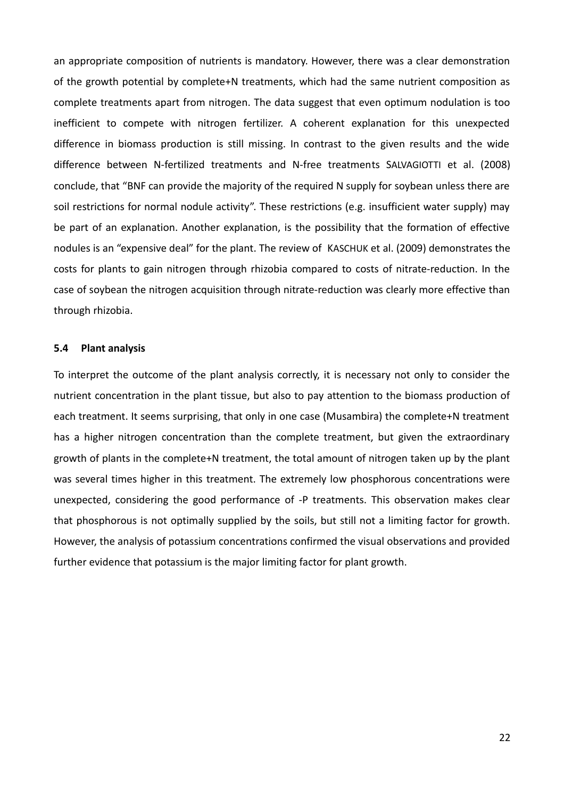an appropriate composition of nutrients is mandatory. However, there was a clear demonstration of the growth potential by complete+N treatments, which had the same nutrient composition as complete treatments apart from nitrogen. The data suggest that even optimum nodulation is too inefficient to compete with nitrogen fertilizer. A coherent explanation for this unexpected difference in biomass production is still missing. In contrast to the given results and the wide difference between N-fertilized treatments and N-free treatments SALVAGIOTTI et al. (2008) conclude, that "BNF can provide the majority of the required N supply for soybean unless there are soil restrictions for normal nodule activity". These restrictions (e.g. insufficient water supply) may be part of an explanation. Another explanation, is the possibility that the formation of effective nodules is an "expensive deal" for the plant. The review of KASCHUK et al. (2009) demonstrates the costs for plants to gain nitrogen through rhizobia compared to costs of nitrate-reduction. In the case of soybean the nitrogen acquisition through nitrate-reduction was clearly more effective than through rhizobia.

#### **5.4 Plant analysis**

To interpret the outcome of the plant analysis correctly, it is necessary not only to consider the nutrient concentration in the plant tissue, but also to pay attention to the biomass production of each treatment. It seems surprising, that only in one case (Musambira) the complete+N treatment has a higher nitrogen concentration than the complete treatment, but given the extraordinary growth of plants in the complete+N treatment, the total amount of nitrogen taken up by the plant was several times higher in this treatment. The extremely low phosphorous concentrations were unexpected, considering the good performance of -P treatments. This observation makes clear that phosphorous is not optimally supplied by the soils, but still not a limiting factor for growth. However, the analysis of potassium concentrations confirmed the visual observations and provided further evidence that potassium is the major limiting factor for plant growth.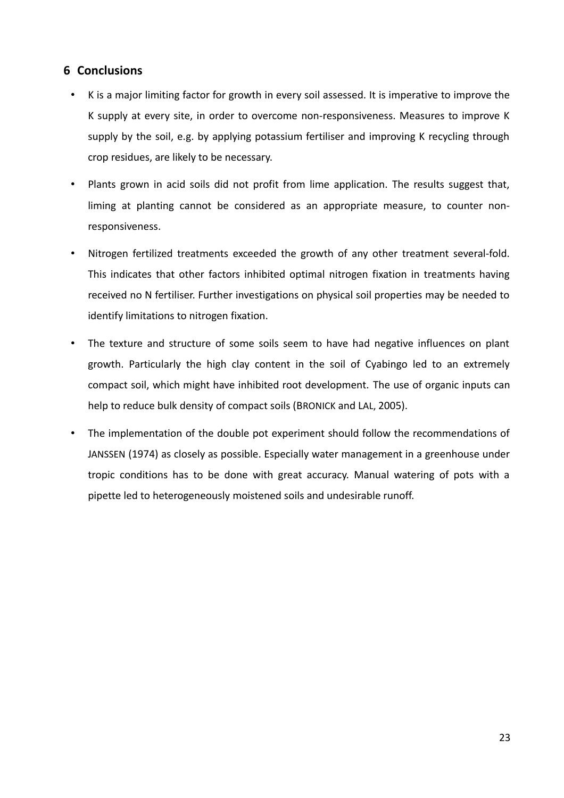## **6 Conclusions**

- K is a major limiting factor for growth in every soil assessed. It is imperative to improve the K supply at every site, in order to overcome non-responsiveness. Measures to improve K supply by the soil, e.g. by applying potassium fertiliser and improving K recycling through crop residues, are likely to be necessary.
- Plants grown in acid soils did not profit from lime application. The results suggest that, liming at planting cannot be considered as an appropriate measure, to counter nonresponsiveness.
- Nitrogen fertilized treatments exceeded the growth of any other treatment several-fold. This indicates that other factors inhibited optimal nitrogen fixation in treatments having received no N fertiliser. Further investigations on physical soil properties may be needed to identify limitations to nitrogen fixation.
- The texture and structure of some soils seem to have had negative influences on plant growth. Particularly the high clay content in the soil of Cyabingo led to an extremely compact soil, which might have inhibited root development. The use of organic inputs can help to reduce bulk density of compact soils (BRONICK and LAL, 2005).
- The implementation of the double pot experiment should follow the recommendations of JANSSEN (1974) as closely as possible. Especially water management in a greenhouse under tropic conditions has to be done with great accuracy. Manual watering of pots with a pipette led to heterogeneously moistened soils and undesirable runoff.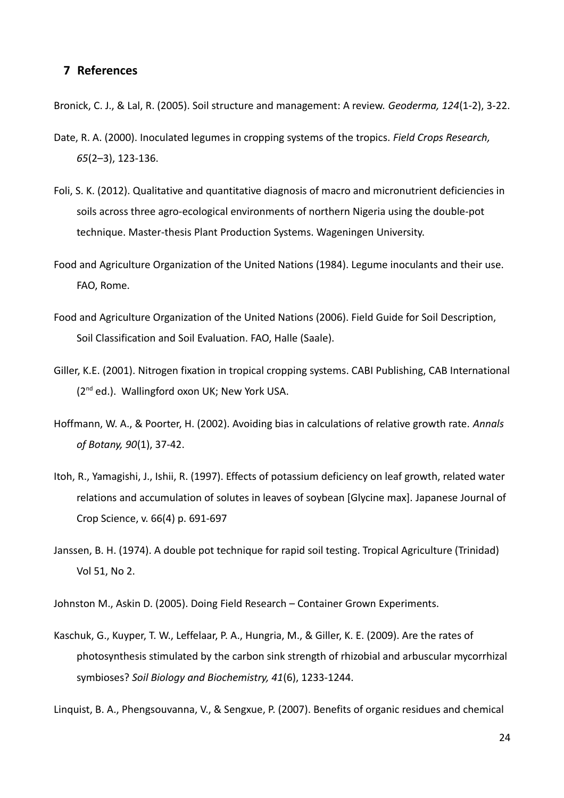### **7 References**

Bronick, C. J., & Lal, R. (2005). Soil structure and management: A review. *Geoderma, 124*(1-2), 3-22.

- Date, R. A. (2000). Inoculated legumes in cropping systems of the tropics. *Field Crops Research, 65*(2–3), 123-136.
- Foli, S. K. (2012). Qualitative and quantitative diagnosis of macro and micronutrient deficiencies in soils across three agro-ecological environments of northern Nigeria using the double-pot technique. Master-thesis Plant Production Systems. Wageningen University.
- Food and Agriculture Organization of the United Nations (1984). Legume inoculants and their use. FAO, Rome.
- Food and Agriculture Organization of the United Nations (2006). Field Guide for Soil Description, Soil Classification and Soil Evaluation. FAO, Halle (Saale).
- Giller, K.E. (2001). Nitrogen fixation in tropical cropping systems. CABI Publishing, CAB International (2<sup>nd</sup> ed.). Wallingford oxon UK; New York USA.
- Hoffmann, W. A., & Poorter, H. (2002). Avoiding bias in calculations of relative growth rate. *Annals of Botany, 90*(1), 37-42.
- Itoh, R., Yamagishi, J., Ishii, R. (1997). Effects of potassium deficiency on leaf growth, related water relations and accumulation of solutes in leaves of soybean [Glycine max]. Japanese Journal of Crop Science, v. 66(4) p. 691-697
- Janssen, B. H. (1974). A double pot technique for rapid soil testing. Tropical Agriculture (Trinidad) Vol 51, No 2.
- Johnston M., Askin D. (2005). Doing Field Research Container Grown Experiments.
- Kaschuk, G., Kuyper, T. W., Leffelaar, P. A., Hungria, M., & Giller, K. E. (2009). Are the rates of photosynthesis stimulated by the carbon sink strength of rhizobial and arbuscular mycorrhizal symbioses? *Soil Biology and Biochemistry, 41*(6), 1233-1244.

Linquist, B. A., Phengsouvanna, V., & Sengxue, P. (2007). Benefits of organic residues and chemical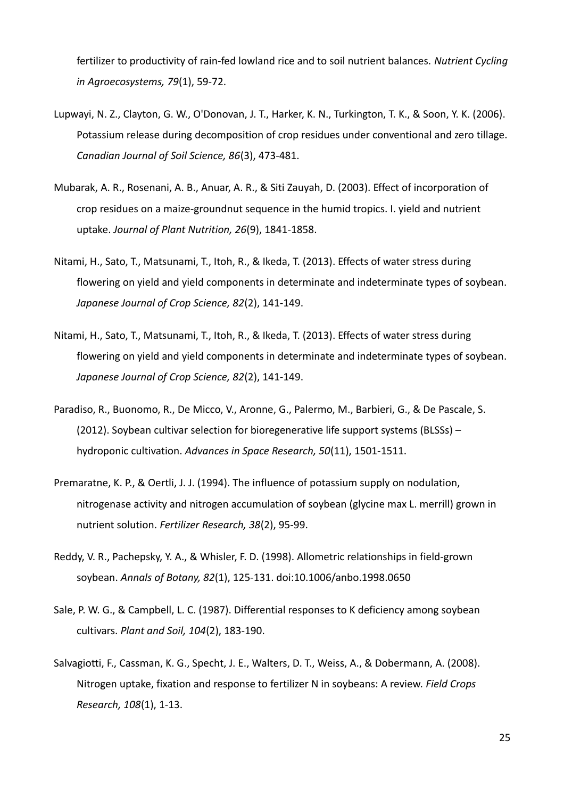fertilizer to productivity of rain-fed lowland rice and to soil nutrient balances. *Nutrient Cycling in Agroecosystems, 79*(1), 59-72.

- Lupwayi, N. Z., Clayton, G. W., O'Donovan, J. T., Harker, K. N., Turkington, T. K., & Soon, Y. K. (2006). Potassium release during decomposition of crop residues under conventional and zero tillage. *Canadian Journal of Soil Science, 86*(3), 473-481.
- Mubarak, A. R., Rosenani, A. B., Anuar, A. R., & Siti Zauyah, D. (2003). Effect of incorporation of crop residues on a maize-groundnut sequence in the humid tropics. I. yield and nutrient uptake. *Journal of Plant Nutrition, 26*(9), 1841-1858.
- Nitami, H., Sato, T., Matsunami, T., Itoh, R., & Ikeda, T. (2013). Effects of water stress during flowering on yield and yield components in determinate and indeterminate types of soybean. *Japanese Journal of Crop Science, 82*(2), 141-149.
- Nitami, H., Sato, T., Matsunami, T., Itoh, R., & Ikeda, T. (2013). Effects of water stress during flowering on yield and yield components in determinate and indeterminate types of soybean. *Japanese Journal of Crop Science, 82*(2), 141-149.
- Paradiso, R., Buonomo, R., De Micco, V., Aronne, G., Palermo, M., Barbieri, G., & De Pascale, S. (2012). Soybean cultivar selection for bioregenerative life support systems (BLSSs) – hydroponic cultivation. *Advances in Space Research, 50*(11), 1501-1511.
- Premaratne, K. P., & Oertli, J. J. (1994). The influence of potassium supply on nodulation, nitrogenase activity and nitrogen accumulation of soybean (glycine max L. merrill) grown in nutrient solution. *Fertilizer Research, 38*(2), 95-99.
- Reddy, V. R., Pachepsky, Y. A., & Whisler, F. D. (1998). Allometric relationships in field-grown soybean. *Annals of Botany, 82*(1), 125-131. doi:10.1006/anbo.1998.0650
- Sale, P. W. G., & Campbell, L. C. (1987). Differential responses to K deficiency among soybean cultivars. *Plant and Soil, 104*(2), 183-190.
- Salvagiotti, F., Cassman, K. G., Specht, J. E., Walters, D. T., Weiss, A., & Dobermann, A. (2008). Nitrogen uptake, fixation and response to fertilizer N in soybeans: A review. *Field Crops Research, 108*(1), 1-13.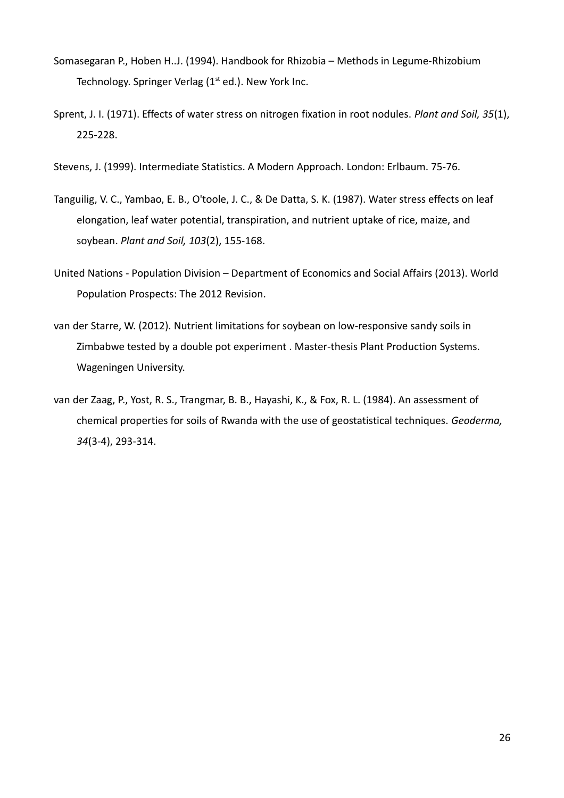- Somasegaran P., Hoben H..J. (1994). Handbook for Rhizobia Methods in Legume-Rhizobium Technology. Springer Verlag  $(1<sup>st</sup> ed.)$ . New York Inc.
- Sprent, J. I. (1971). Effects of water stress on nitrogen fixation in root nodules. *Plant and Soil, 35*(1), 225-228.
- Stevens, J. (1999). Intermediate Statistics. A Modern Approach. London: Erlbaum. 75-76.
- Tanguilig, V. C., Yambao, E. B., O'toole, J. C., & De Datta, S. K. (1987). Water stress effects on leaf elongation, leaf water potential, transpiration, and nutrient uptake of rice, maize, and soybean. *Plant and Soil, 103*(2), 155-168.
- United Nations Population Division Department of Economics and Social Affairs (2013). World Population Prospects: The 2012 Revision.
- van der Starre, W. (2012). Nutrient limitations for soybean on low-responsive sandy soils in Zimbabwe tested by a double pot experiment . Master-thesis Plant Production Systems. Wageningen University.
- van der Zaag, P., Yost, R. S., Trangmar, B. B., Hayashi, K., & Fox, R. L. (1984). An assessment of chemical properties for soils of Rwanda with the use of geostatistical techniques. *Geoderma, 34*(3-4), 293-314.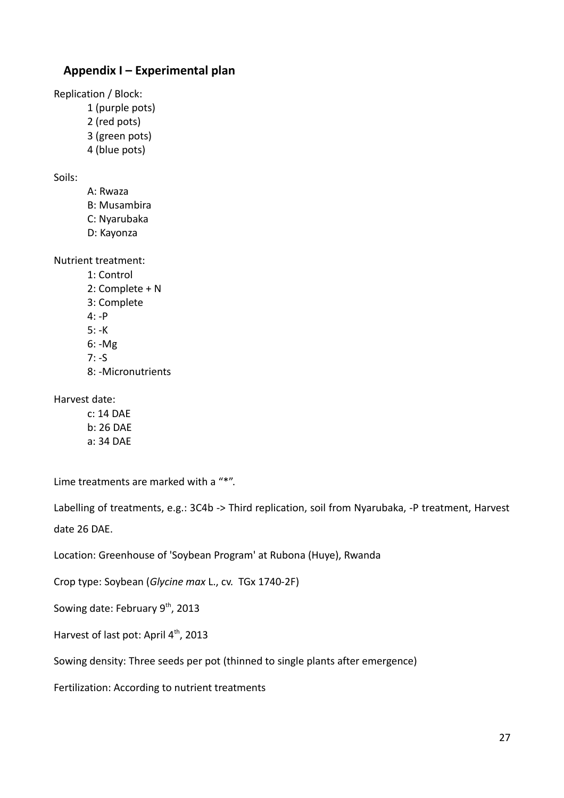## **Appendix I – Experimental plan**

Replication / Block:

- 1 (purple pots)
- 2 (red pots)
- 3 (green pots)
- 4 (blue pots)

Soils:

- A: Rwaza
- B: Musambira
- C: Nyarubaka
- D: Kayonza

Nutrient treatment:

1: Control 2: Complete + N 3: Complete 4: -P 5: -K 6: -Mg 7: -S 8: -Micronutrients

Harvest date:

c: 14 DAE b: 26 DAE a: 34 DAE

Lime treatments are marked with a "\*".

Labelling of treatments, e.g.: 3C4b -> Third replication, soil from Nyarubaka, -P treatment, Harvest date 26 DAE.

Location: Greenhouse of 'Soybean Program' at Rubona (Huye), Rwanda

Crop type: Soybean (*Glycine max* L., cv. TGx 1740-2F)

Sowing date: February 9<sup>th</sup>, 2013

Harvest of last pot: April 4<sup>th</sup>, 2013

Sowing density: Three seeds per pot (thinned to single plants after emergence)

Fertilization: According to nutrient treatments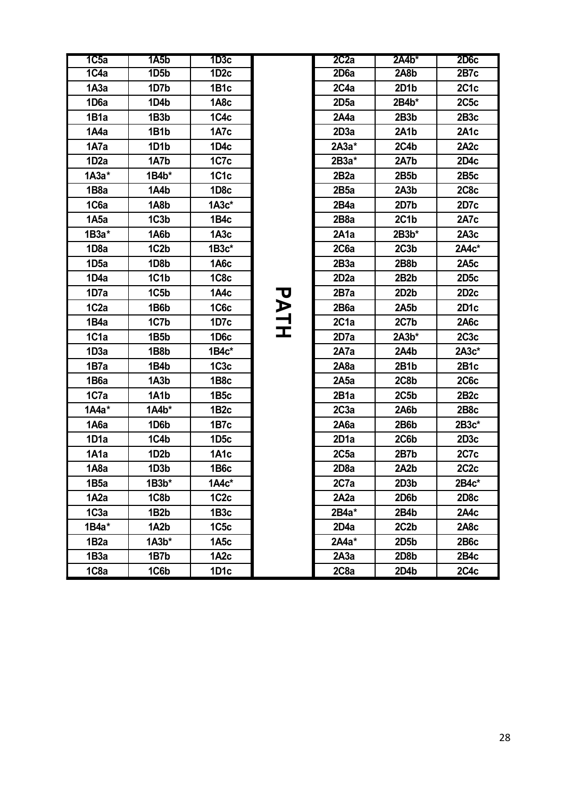| $\overline{1C5a}$ | $\overline{145b}$ | 1D3c              |    | 2C2a              | $2A4b*$           | <b>2D6c</b>       |
|-------------------|-------------------|-------------------|----|-------------------|-------------------|-------------------|
| 1C4a              | 1D <sub>5</sub> b | 1D2c              |    | 2D <sub>6</sub> a | 2A8b              | 2B7c              |
| 1A3a              | 1D7b              | 1B1c              |    | 2C4a              | 2D1b              | 2C <sub>1</sub> c |
| 1D6a              | 1D4b              | 1A8c              |    | 2D <sub>5a</sub>  | $2B4b*$           | 2C5c              |
| 1B1a              | 1B3b              | 1C4c              |    | 2A4a              | 2B <sub>3</sub> b | 2B3c              |
| 1A4a              | 1B1b              | 1A7c              |    | 2D <sub>3</sub> a | 2A1b              | <b>2A1c</b>       |
| 1A7a              | 1D <sub>1</sub> b | 1D4c              |    | $2A3a*$           | 2C4b              | 2A <sub>2</sub> c |
| 1D <sub>2</sub> a | 1A7b              | 1C7c              |    | 2B3a*             | 2A7b              | 2D4c              |
| $1A3a^*$          | $1B4b*$           | 1C1c              |    | 2B <sub>2</sub> a | 2B5b              | 2B5c              |
| 1B <sub>8</sub> a | 1A4b              | 1D8c              |    | 2B5a              | 2A3b              | 2C8c              |
| 1C6a              | 1A8b              | $1A3c^*$          |    | 2B4a              | 2D7b              | 2D7c              |
| 1A5a              | 1C3b              | 1B4c              |    | 2B <sub>8</sub> a | 2C1b              | <b>2A7c</b>       |
| 1B3a*             | 1A6b              | 1A3c              |    | 2A1a              | $2B3b*$           | 2A3c              |
| 1D <sub>8</sub> a | 1C <sub>2</sub> b | $1B3c*$           |    | 2C6a              | 2C3b              | 2A4c*             |
| 1D5a              | 1D8b              | 1A6c              |    | 2B3a              | 2B8b              | 2A5c              |
| 1D4a              | 1C1b              | 1C8 <sub>c</sub>  |    | 2D <sub>2</sub> a | 2B <sub>2</sub> b | 2D <sub>5</sub> c |
| 1D7a              | 1C5b              | 1A4c              |    | 2B7a              | 2D2b              | 2D <sub>2</sub> c |
| 1C <sub>2a</sub>  | 1B6b              | 1C6c              | アマ | 2B <sub>6</sub> a | 2A5b              | 2D <sub>1</sub> c |
| 1B4a              | 1C7b              | 1D7c              | 긒  | 2C <sub>1</sub> a | 2C7b              | <b>2A6c</b>       |
| 1C1a              | 1B5b              | 1D <sub>6</sub> c |    | 2D7a              | $2A3b*$           | 2C3c              |
| 1D3a              | 1B8b              | $1B4c^*$          |    | 2A7a              | 2A4b              | 2A3c*             |
| 1B7a              | 1B4b              | 1C3c              |    | 2A8a              | 2B1b              | 2B1c              |
| 1B6a              | 1A3b              | 1B <sub>8</sub> c |    | 2A5a              | 2C8b              | <b>2C6c</b>       |
| 1C7a              | 1A1b              | 1B <sub>5</sub> c |    | 2B <sub>1</sub> a | 2C5 <sub>b</sub>  | 2B2c              |
| $1A4a*$           | $1A4b*$           | 1B <sub>2</sub> c |    | 2C3a              | 2A6b              | 2B8c              |
| 1A6a              | 1D6b              | 1B7c              |    | 2A6a              | 2B6b              | $2B3c*$           |
| 1D1a              | 1C4b              | 1D5c              |    | 2D <sub>1</sub> a | 2C6b              | 2D3c              |
| 1A1a              | 1D <sub>2</sub> b | 1A1c              |    | 2C5a              | 2B7b              | <b>2C7c</b>       |
| 1A8a              | 1D <sub>3</sub> b | 1B6c              |    | 2D <sub>8</sub> a | 2A2b              | 2C2c              |
| 1B <sub>5a</sub>  | $1B3b*$           | 1A4c*             |    | 2C7a              | 2D3b              | 2B4c*             |
| 1A2a              | 1C8b              | 1C2c              |    | 2A2a              | 2D6b              | 2D <sub>8</sub> c |
| 1C <sub>3a</sub>  | 1B <sub>2</sub> b | 1B <sub>3</sub> c |    | 2B4a*             | 2B4b              | 2A4c              |
| 1B4a*             | 1A <sub>2</sub> b | 1C <sub>5</sub> c |    | 2D4a              | 2C2b              | 2A8c              |
| 1B <sub>2</sub> a | $1A3b*$           | 1A <sub>5</sub> c |    | $2A4a*$           | 2D5b              | <b>2B6c</b>       |
| 1B3a              | 1B7b              | 1A <sub>2</sub> c |    | 2A3a              | 2D8b              | 2B4c              |
| 1C8a              | 1C6b              | 1D1c              |    | 2C <sub>8</sub> a | 2D4b              | <b>2C4c</b>       |

| 1C5a              | 1A5b              | 1D3c              |                       | 2C2a              | $2A4b*$           | <b>2D6c</b>       |
|-------------------|-------------------|-------------------|-----------------------|-------------------|-------------------|-------------------|
| 1C4a              | 1D <sub>5</sub> b | 1D <sub>2</sub> c |                       | 2D <sub>6</sub> a | 2A8b              | 2B7c              |
| 1А3а              | 1D7b              | 1B1c              |                       | 2C4a              | 2D1b              | 2C1c              |
| 1D <sub>6</sub> a | 1D4b              | 1A8c              |                       | 2D <sub>5a</sub>  | 2B4b*             | <b>2C5c</b>       |
| 1B1a              | 1B <sub>3</sub> b | 1C4 <sub>c</sub>  |                       | 2A4a              | 2B3b              | 2B3c              |
| 1A4a              | 1B1b              | 1A7c              |                       | 2D3a              | 2A1b              | 2A1c              |
| 1A7a              | 1D1b              | 1D4c              |                       | $2A3a*$           | 2C4b              | 2A <sub>2</sub> c |
| 1D <sub>2</sub> a | 1A7b              | 1C7c              |                       | 2B3a*             | 2A7b              | 2D4c              |
| $1A3a^*$          | $1B4b*$           | 1C <sub>1</sub> c |                       | 2B <sub>2</sub> a | 2B5b              | 2B5c              |
| 1B8a              | 1A4b              | 1D <sub>8</sub> c |                       | 2B5a              | 2A3b              | 2C8c              |
| 1C6a              | 1A8b              | $1A3c*$           |                       | 2B4a              | 2D7b              | 2D7c              |
| 1A5a              | 1C3b              | 1B4c              |                       | 2B <sub>8</sub> a | 2C1b              | 2A7c              |
| 1B3a*             | 1A6b              | 1A3c              |                       | 2A <sub>1</sub> a | $2B3b*$           | 2A3c              |
| 1D <sub>8a</sub>  | 1C <sub>2</sub> b | $1B3c*$           |                       | 2C6a              | 2C3b              | $2A4c^*$          |
| 1D <sub>5a</sub>  | 1D8b              | 1A6c              |                       | 2B3a              | 2B8b              | 2A5c              |
| 1D4a              | 1C1b              | 1C8c              |                       | 2D <sub>2</sub> a | 2B <sub>2</sub> b | 2D <sub>5</sub> c |
| 1D7a              | 1C5b              | 1A4c              |                       | 2B7a              | 2D <sub>2</sub> b | 2D <sub>2</sub> c |
| 1C <sub>2</sub> a | 1B6b              | 1C6c              | $\blacktriangleright$ | 2B <sub>6</sub> a | 2A5b              | 2D <sub>1</sub> c |
| 1B4a              | 1C7b              | 1D7c              | 구<br>고                | 2C1a              | 2C7b              | 2A6c              |
| 1C1a              | 1B5b              | 1D <sub>6</sub> c |                       | 2D7a              | $2A3b*$           | 2C3c              |
| 1D3a              | 1B8b              | $1B4c^*$          |                       | 2A7a              | 2A4b              | $2A3c*$           |
| 1B7a              | 1B4b              | 1C3c              |                       | 2A8a              | 2B1b              | 2B1c              |
| 1B6a              | 1A3b              | 1B <sub>8</sub> c |                       | 2A5a              | 2C8b              | <b>2C6c</b>       |
| 1C7a              | 1A1b              | 1B <sub>5</sub> c |                       | 2B <sub>1</sub> a | 2C5 <sub>b</sub>  | 2B2c              |
| $1A4a^*$          | $1A4b*$           | 1B <sub>2</sub> c |                       | 2C3a              | 2A6b              | 2B <sub>8</sub> c |
| 1A6a              | 1D6b              | 1B7c              |                       | 2A6a              | 2B6b              | $2B3c*$           |
| 1D1a              | 1C4b              | 1D <sub>5</sub> c |                       | 2D <sub>1</sub> a | 2C6b              | 2D <sub>3</sub> c |
| 1A1a              | 1D <sub>2</sub> b | 1A1c              |                       | 2C5a              | 2B7b              | 2C7c              |
| 1A8a              | 1D <sub>3</sub> b | 1B6c              |                       | 2D <sub>8</sub> a | 2A2b              | 2C <sub>2</sub> c |
| 1B5a              | $1B3b*$           | $1A4c^*$          |                       | 2C7a              | 2D3b              | $2B4c*$           |
| 1A2a              | 1C8b              | 1C2c              |                       | 2A2a              | 2D6b              | 2D <sub>8</sub> c |
| 1C3a              | 1B <sub>2</sub> b | 1B3c              |                       | 2B4a*             | 2B4b              | 2A4c              |
| 1B4a*             | 1A2b              | 1C5c              |                       | 2D4a              | 2C2b              | 2A8c              |
| 1B2a              | $1A3b*$           | 1A <sub>5</sub> c |                       | $2A4a*$           | 2D5b              | <b>2B6c</b>       |
| 1B3a              | 1B7b              | 1A <sub>2</sub> c |                       | 2A3a              | 2D8b              | 2B4c              |
| 1C8a              | 1C6b              | 1D1c              |                       | 2C8a              | 2D4b              | 2C4c              |
|                   |                   |                   |                       |                   |                   |                   |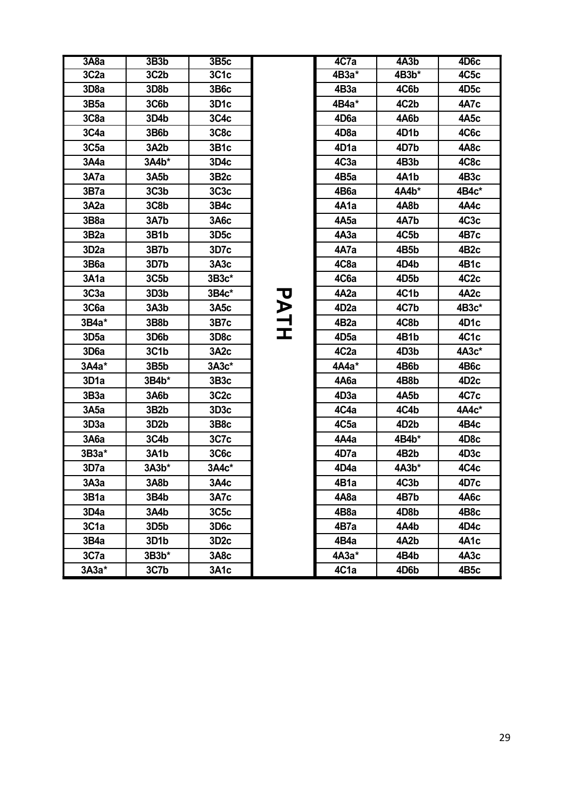| 3A8a              | 3B <sub>3</sub> b | 3B5c              |        | 4C7a              | 4A3b              | 4D <sub>6</sub> c |
|-------------------|-------------------|-------------------|--------|-------------------|-------------------|-------------------|
| 3C <sub>2a</sub>  | 3C <sub>2</sub> b | 3C1c              |        | 4B3a*             | 4B3b*             | 4C5c              |
| 3D <sub>8</sub> a | 3D8b              | 3B6c              |        | 4B3a              | 4C6b              | 4D <sub>5</sub> c |
| 3B5a              | 3C6b              | 3D <sub>1</sub> c |        | 4B4a*             | 4C2b              | 4A7c              |
| 3C8a              | 3D4b              | 3C4c              |        | 4D <sub>6</sub> a | 4A6b              | 4A <sub>5</sub> c |
| 3C4a              | 3B6b              | 3C8c              |        | 4D <sub>8</sub> a | 4D1b              | 4C6c              |
| 3C <sub>5a</sub>  | 3A2b              | 3B1c              |        | 4D <sub>1</sub> a | 4D7b              | 4A8c              |
| 3A4a              | 3A4b*             | 3D4c              |        | 4C3a              | 4B3b              | 4C8c              |
| 3A7a              | 3A5b              | 3B2c              |        | 4B <sub>5</sub> a | 4A1b              | 4B <sub>3</sub> c |
| 3B7a              | 3C <sub>3b</sub>  | 3C3c              |        | 4B6a              | 4A4b*             | 4B4c*             |
| 3A2a              | 3C8b              | 3B4c              |        | 4A1a              | 4A8b              | 4A4c              |
| 3B <sub>8</sub> a | 3A7b              | 3A6c              |        | 4A5a              | 4A7b              | 4C3c              |
| 3B <sub>2</sub> a | 3B1b              | 3D <sub>5</sub> c |        | 4A3a              | 4C5b              | 4B7c              |
| 3D <sub>2</sub> a | 3B7b              | 3D7c              |        | 4A7a              | 4B5b              | 4B <sub>2</sub> c |
| <b>3B6a</b>       | 3D7b              | 3A3c              |        | 4C8a              | 4D4b              | 4B1c              |
| 3A1a              | 3C5 <sub>b</sub>  | $3B3c*$           |        | 4C6a              | 4D5b              | 4C <sub>2</sub> c |
| 3C <sub>3a</sub>  | 3D3b              | 3B4c*             |        | 4A <sub>2</sub> a | 4C1b              | 4A <sub>2</sub> c |
| 3C6a              | 3A <sub>3</sub> b | 3A5c              | フ      | 4D <sub>2</sub> a | 4C7b              | 4B3c*             |
| 3B4a*             | 3B8b              | 3B7c              | 그<br>고 | 4B <sub>2</sub> a | 4C8b              | 4D1c              |
| 3D <sub>5a</sub>  | 3D6b              | 3D <sub>8</sub> c |        | 4D <sub>5a</sub>  | 4B1b              | 4C1c              |
| 3D <sub>6</sub> a | 3C1b              | 3A2c              |        | 4C <sub>2</sub> a | 4D3b              | 4A3c*             |
| $3A4a*$           | 3B5b              | $3A3c*$           |        | 4A4a*             | 4B6b              | 4B6c              |
| 3D <sub>1</sub> a | 3B4b*             | 3B3c              |        | 4A6a              | 4B8b              | 4D <sub>2</sub> c |
| 3B3a              | 3A6b              | 3C2c              |        | 4D <sub>3</sub> a | 4A5b              | 4C7c              |
| 3A5a              | 3B <sub>2</sub> b | 3D <sub>3</sub> c |        | 4C4a              | 4C4b              | 4A4c*             |
| 3D3a              | 3D <sub>2</sub> b | 3B <sub>8</sub> c |        | 4C <sub>5a</sub>  | 4D <sub>2</sub> b | 4B4c              |
| 3A6a              | 3C4b              | 3C7c              |        | 4A4a              | 4B4b*             | 4D <sub>8</sub> c |
| $3B3a*$           | 3A1b              | 3C6c              |        | 4D7a              | 4B <sub>2</sub> b | 4D <sub>3</sub> c |
| 3D7a              | 3A3b*             | 3A4c*             |        | 4D4a              | $4A3b*$           | 4C4c              |
| ЗАЗа              | 3A8b              | 3A4c              |        | 4B1a              | 4C3b              | 4D7c              |
| 3B1a              | 3B4b              | 3A7c              |        | 4A8a              | 4B7b              | 4A6c              |
| 3D4a              | 3A4b              | 3C5c              |        | 4B <sub>8</sub> a | 4D8b              | 4B8c              |
| 3C1a              | 3D <sub>5</sub> b | 3D <sub>6</sub> c |        | 4B7a              | 4A4b              | 4D4c              |
| 3B4a              | 3D1b              | 3D <sub>2</sub> c |        | 4B4a              | 4A <sub>2</sub> b | 4A1c              |
| 3C7a              | $3B3b*$           | 3A8c              |        | 4АЗа*             | 4B4b              | 4A <sub>3</sub> c |
| $3A3a*$           | 3C7b              | 3A1c              |        | 4C1a              | 4D6b              | 4B5c              |

| 3A8a              | 3B3b              | <b>3B5c</b>       |                       | 4C7a              | 4A3b              | 4D <sub>6</sub> c |
|-------------------|-------------------|-------------------|-----------------------|-------------------|-------------------|-------------------|
| 3C <sub>2</sub> a | 3C <sub>2</sub> b | 3C1c              |                       | 4B3a*             | 4B3b*             | 4C5c              |
| 3D <sub>8</sub> a | 3D8b              | 3B6c              |                       | 4B <sub>3</sub> a | 4C6b              | 4D <sub>5</sub> c |
| 3B5a              | 3C6b              | 3D <sub>1</sub> c |                       | 4B4a*             | 4C2b              | 4A7c              |
| 3C <sub>8</sub> a | 3D4b              | 3C4c              |                       | 4D6a              | 4A6b              | 4A <sub>5</sub> c |
| 3C4a              | 3B6b              | 3C8c              |                       | 4D <sub>8</sub> a | 4D1b              | 4C6c              |
| 3C <sub>5a</sub>  | 3A <sub>2</sub> b | 3B1c              |                       | 4D <sub>1</sub> a | 4D7b              | 4A8c              |
| 3A4a              | 3A4b*             | 3D4c              |                       | 4C3a              | 4B3b              | 4C8c              |
| 3A7a              | 3A5b              | 3B <sub>2c</sub>  |                       | 4B <sub>5</sub> a | 4A1b              | 4B <sub>3</sub> c |
| 3B7a              | 3C <sub>3b</sub>  | 3C3c              |                       | 4B <sub>6</sub> a | 4A4b*             | 4B4c*             |
| 3A2a              | 3C8b              | 3B4c              |                       | 4A1a              | 4A8b              | 4A4c              |
| 3B <sub>8</sub> a | 3A7b              | 3A6c              |                       | 4A <sub>5</sub> a | 4A7b              | 4C3c              |
| 3B <sub>2</sub> a | 3B1b              | 3D <sub>5</sub> c |                       | 4A3a              | 4C5b              | 4B7c              |
| 3D <sub>2</sub> a | 3B7b              | 3D7c              |                       | 4A7a              | 4B5b              | 4B <sub>2c</sub>  |
| 3B <sub>6</sub> a | 3D7b              | 3A3c              |                       | 4C8a              | 4D4b              | 4B1c              |
| 3A1a              | 3C5b              | $3B3c*$           |                       | 4C6a              | 4D5b              | 4C <sub>2</sub> c |
| 3C <sub>3a</sub>  | 3D3b              | 3B4c*             | U                     | 4A <sub>2</sub> a | 4C1b              | 4A <sub>2</sub> c |
| 3C6a              | 3A3b              | <b>3A5c</b>       | $\blacktriangleright$ | 4D <sub>2</sub> a | 4C7b              | 4B3c*             |
| 3B4a*             | 3B8b              | 3B7c              | 긒                     | 4B <sub>2</sub> a | 4C8b              | 4D1c              |
| 3D <sub>5a</sub>  | 3D6b              | 3D <sub>8</sub> c |                       | 4D <sub>5a</sub>  | 4B1b              | 4C1c              |
| 3D <sub>6</sub> a | 3C1b              | 3A <sub>2</sub> c |                       | 4C <sub>2</sub> a | 4D3b              | 4A3c*             |
| 3A4a*             | 3B5b              | 3A3c*             |                       | 4A4a*             | 4B6b              | 4B6c              |
| 3D <sub>1</sub> a | 3B4b*             | 3B <sub>3</sub> c |                       | 4A6a              | 4B8b              | 4D <sub>2</sub> c |
| 3B3a              | 3A6b              | 3C <sub>2</sub> c |                       | 4D <sub>3</sub> a | 4A5b              | 4C7c              |
| 3A5a              | 3B <sub>2</sub> b | 3D <sub>3</sub> c |                       | 4C4a              | 4C4b              | 4A4c*             |
| 3D <sub>3</sub> a | 3D <sub>2</sub> b | 3B <sub>8</sub> c |                       | 4C <sub>5a</sub>  | 4D <sub>2</sub> b | 4B4c              |
| <b>3A6a</b>       | 3C4b              | 3C7c              |                       | 4A4a              | 4B4b*             | 4D <sub>8</sub> c |
| 3B3a*             | 3A1b              | 3C6c              |                       | 4D7a              | 4B <sub>2</sub> b | 4D <sub>3</sub> c |
| 3D7a              | $3A3b*$           | 3A4c*             |                       | 4D4a              | 4A3b*             | 4C4c              |
| 3A3a              | 3A8b              | 3A4c              |                       | 4B1a              | 4C3b              | 4D7c              |
| 3B1a              | 3B4b              | 3A7c              |                       | 4A <sub>8</sub> a | 4B7b              | 4A6c              |
| 3D4a              | 3A4b              | 3C5c              |                       | 4B <sub>8</sub> a | 4D8b              | 4B8c              |
| 3C1a              | 3D5b              | 3D <sub>6</sub> c |                       | 4B7a              | 4A4b              | 4D4c              |
| 3B4a              | 3D1b              | 3D <sub>2</sub> c |                       | 4B4a              | 4A2b              | 4A1c              |
| 3C7a              | $3B3b*$           | 3A8c              |                       | 4A3a*             | 4B4b              | 4A <sub>3</sub> c |
| 3A3a*             | 3C7b              | 3A1c              |                       | 4C1a              | 4D6b              | 4B5c              |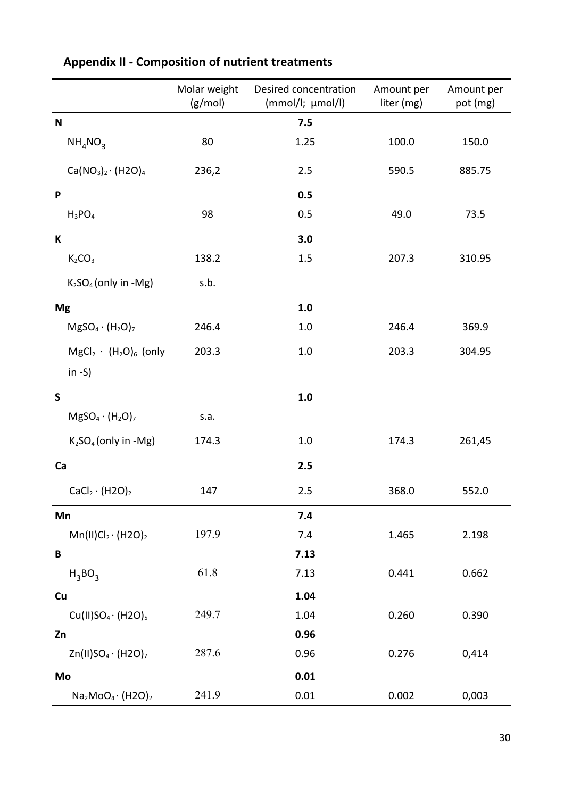|                                            | Molar weight<br>(g/mol) | Desired concentration<br>(mmol/l; µmol/l) | Amount per<br>liter (mg) | Amount per<br>pot (mg) |
|--------------------------------------------|-------------------------|-------------------------------------------|--------------------------|------------------------|
| $\mathbf N$                                |                         | 7.5                                       |                          |                        |
| $NH_{4}NO_{3}$                             | 80                      | 1.25                                      | 100.0                    | 150.0                  |
| $Ca(NO3)2 \cdot (H2O)4$                    | 236,2                   | 2.5                                       | 590.5                    | 885.75                 |
| P                                          |                         | 0.5                                       |                          |                        |
| $H_3PO_4$                                  | 98                      | 0.5                                       | 49.0                     | 73.5                   |
| K                                          |                         | 3.0                                       |                          |                        |
| $K_2CO_3$                                  | 138.2                   | 1.5                                       | 207.3                    | 310.95                 |
| $K2SO4$ (only in -Mg)                      | s.b.                    |                                           |                          |                        |
| <b>Mg</b>                                  |                         | 1.0                                       |                          |                        |
| $MgSO_4 \cdot (H_2O)_7$                    | 246.4                   | 1.0                                       | 246.4                    | 369.9                  |
| $MgCl2 \cdot (H2O)6$ (only                 | 203.3                   | $1.0\,$                                   | 203.3                    | 304.95                 |
| in $-S$ )                                  |                         |                                           |                          |                        |
| $\mathsf{S}$                               |                         | 1.0                                       |                          |                        |
| $MgSO_4 \cdot (H_2O)_7$                    | s.a.                    |                                           |                          |                        |
| $K2SO4$ (only in -Mg)                      | 174.3                   | $1.0\,$                                   | 174.3                    | 261,45                 |
| Ca                                         |                         | 2.5                                       |                          |                        |
| $CaCl2 \cdot (H2O)2$                       | 147                     | 2.5                                       | 368.0                    | 552.0                  |
| Mn                                         |                         | 7.4                                       |                          |                        |
| $Mn(II)Cl_2 \cdot (H2O)_2$                 | 197.9                   | 7.4                                       | 1.465                    | 2.198                  |
| B                                          |                         | 7.13                                      |                          |                        |
| $H_3BO_3$                                  | 61.8                    | 7.13                                      | 0.441                    | 0.662                  |
| Cu                                         |                         | 1.04                                      |                          |                        |
| $Cu(II)SO4·(H2O)5$                         | 249.7                   | 1.04                                      | 0.260                    | 0.390                  |
| Zn                                         |                         | 0.96                                      |                          |                        |
| Zn(II)SO <sub>4</sub> · (H2O) <sub>7</sub> | 287.6                   | 0.96                                      | 0.276                    | 0,414                  |
| Mo                                         |                         | 0.01                                      |                          |                        |
| $Na2MoO4 (H2O)2$                           | 241.9                   | 0.01                                      | 0.002                    | 0,003                  |

# **Appendix II - Composition of nutrient treatments**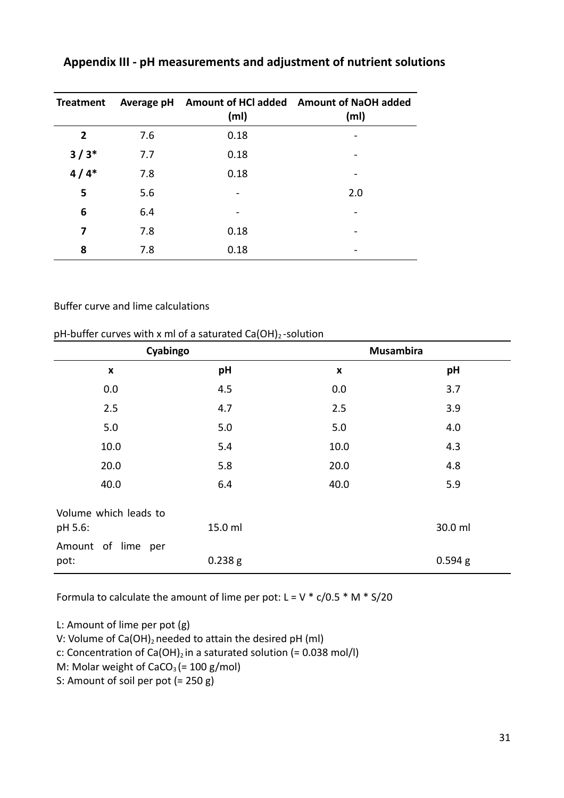| <b>Treatment</b> | Average pH | (m <sub>l</sub> ) | Amount of HCl added Amount of NaOH added<br>(m <sub>l</sub> ) |
|------------------|------------|-------------------|---------------------------------------------------------------|
| $\overline{2}$   | 7.6        | 0.18              |                                                               |
| $3/3*$           | 7.7        | 0.18              |                                                               |
| $4/4*$           | 7.8        | 0.18              |                                                               |
| 5                | 5.6        |                   | 2.0                                                           |
| 6                | 6.4        |                   |                                                               |
| 7                | 7.8        | 0.18              |                                                               |
| 8                | 7.8        | 0.18              |                                                               |

## **Appendix III - pH measurements and adjustment of nutrient solutions**

#### Buffer curve and lime calculations

#### pH-buffer curves with x ml of a saturated  $Ca(OH)_2$ -solution

| Cyabingo                         |         | <b>Musambira</b> |         |  |
|----------------------------------|---------|------------------|---------|--|
| $\pmb{\mathsf{x}}$               | pH      | X                | pH      |  |
| 0.0                              | 4.5     | 0.0              | 3.7     |  |
| 2.5                              | 4.7     | 2.5              | 3.9     |  |
| 5.0                              | 5.0     | 5.0              | 4.0     |  |
| 10.0                             | 5.4     | 10.0             | 4.3     |  |
| 20.0                             | 5.8     | 20.0             | 4.8     |  |
| 40.0                             | 6.4     | 40.0             | 5.9     |  |
| Volume which leads to<br>pH 5.6: | 15.0 ml |                  | 30.0 ml |  |
| Amount of lime per<br>pot:       | 0.238g  |                  | 0.594 g |  |

Formula to calculate the amount of lime per pot:  $L = V * c/0.5 * M * S/20$ 

L: Amount of lime per pot (g) V: Volume of Ca(OH)<sub>2</sub> needed to attain the desired pH (ml) c: Concentration of Ca(OH)<sub>2</sub> in a saturated solution (=  $0.038$  mol/l) M: Molar weight of  $CaCO<sub>3</sub> (= 100 g/mol)$ S: Amount of soil per pot (= 250 g)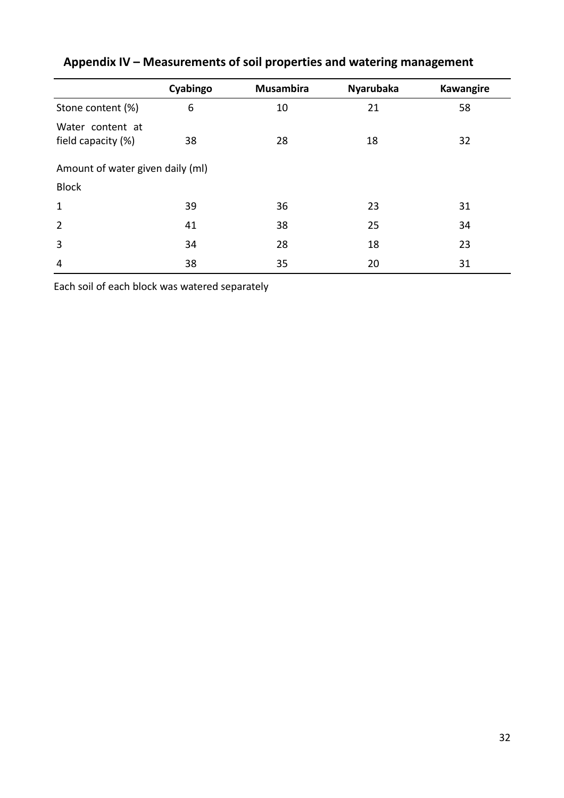|                                        | Cyabingo | <b>Musambira</b> | <b>Nyarubaka</b> | Kawangire |  |  |  |  |  |
|----------------------------------------|----------|------------------|------------------|-----------|--|--|--|--|--|
| Stone content (%)                      | 6        | 10               | 21               | 58        |  |  |  |  |  |
| Water content at<br>field capacity (%) | 38       | 28               | 18               | 32        |  |  |  |  |  |
| Amount of water given daily (ml)       |          |                  |                  |           |  |  |  |  |  |
| <b>Block</b>                           |          |                  |                  |           |  |  |  |  |  |
| $\mathbf{1}$                           | 39       | 36               | 23               | 31        |  |  |  |  |  |
| $\overline{2}$                         | 41       | 38               | 25               | 34        |  |  |  |  |  |
| 3                                      | 34       | 28               | 18               | 23        |  |  |  |  |  |
| $\overline{4}$                         | 38       | 35               | 20               | 31        |  |  |  |  |  |

# **Appendix IV – Measurements of soil properties and watering management**

Each soil of each block was watered separately